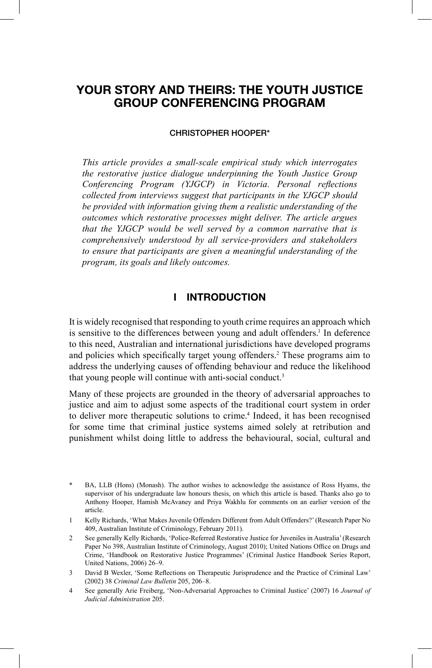# **YOUR STORY AND THEIRS: THE YOUTH JUSTICE GROUP CONFERENCING PROGRAM**

#### **CHRISTOPHER HOOPER\***

*This article provides a small-scale empirical study which interrogates the restorative justice dialogue underpinning the Youth Justice Group Conferencing Program (YJGCP) in Victoria. Personal reflections collected from interviews suggest that participants in the YJGCP should be provided with information giving them a realistic understanding of the outcomes which restorative processes might deliver. The article argues that the YJGCP would be well served by a common narrative that is comprehensively understood by all service-providers and stakeholders to ensure that participants are given a meaningful understanding of the program, its goals and likely outcomes.*

### **I INTRODUCTION**

It is widely recognised that responding to youth crime requires an approach which is sensitive to the differences between young and adult offenders.<sup>1</sup> In deference to this need, Australian and international jurisdictions have developed programs and policies which specifically target young offenders.<sup>2</sup> These programs aim to address the underlying causes of offending behaviour and reduce the likelihood that young people will continue with anti-social conduct. 3

Many of these projects are grounded in the theory of adversarial approaches to justice and aim to adjust some aspects of the traditional court system in order to deliver more therapeutic solutions to crime. 4 Indeed, it has been recognised for some time that criminal justice systems aimed solely at retribution and punishment whilst doing little to address the behavioural, social, cultural and

BA, LLB (Hons) (Monash). The author wishes to acknowledge the assistance of Ross Hyams, the supervisor of his undergraduate law honours thesis, on which this article is based. Thanks also go to Anthony Hooper, Hamish McAvaney and Priya Wakhlu for comments on an earlier version of the article.

<sup>1</sup> Kelly Richards, 'What Makes Juvenile Offenders Different from Adult Offenders?' (Research Paper No 409, Australian Institute of Criminology, February 2011).

<sup>2</sup> See generally Kelly Richards, 'Police-Referred Restorative Justice for Juveniles in Australia' (Research Paper No 398, Australian Institute of Criminology, August 2010); United Nations Office on Drugs and Crime, 'Handbook on Restorative Justice Programmes' (Criminal Justice Handbook Series Report, United Nations, 2006) 26–9.

<sup>3</sup> David B Wexler, 'Some Reflections on Therapeutic Jurisprudence and the Practice of Criminal Law' (2002) 38 *Criminal Law Bulletin* 205, 206–8.

<sup>4</sup> See generally Arie Freiberg, 'Non-Adversarial Approaches to Criminal Justice' (2007) 16 *Journal of Judicial Administration* 205.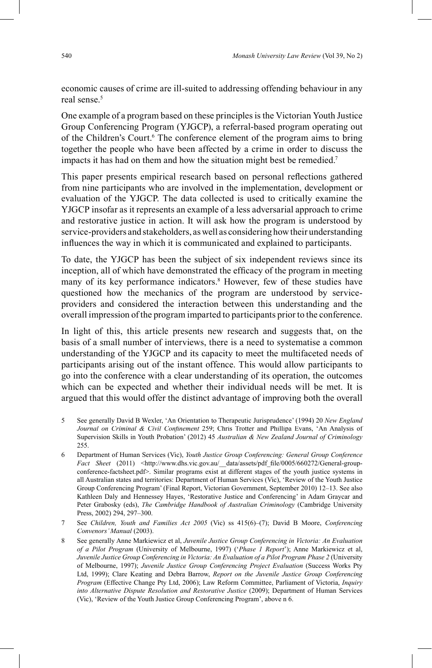economic causes of crime are ill-suited to addressing offending behaviour in any real sense.<sup>5</sup>

One example of a program based on these principles is the Victorian Youth Justice Group Conferencing Program (YJGCP), a referral-based program operating out of the Children's Court.<sup>6</sup> The conference element of the program aims to bring together the people who have been affected by a crime in order to discuss the impacts it has had on them and how the situation might best be remedied. 7

This paper presents empirical research based on personal reflections gathered from nine participants who are involved in the implementation, development or evaluation of the YJGCP. The data collected is used to critically examine the YJGCP insofar as it represents an example of a less adversarial approach to crime and restorative justice in action. It will ask how the program is understood by service-providers and stakeholders, as well as considering how their understanding influences the way in which it is communicated and explained to participants.

To date, the YJGCP has been the subject of six independent reviews since its inception, all of which have demonstrated the efficacy of the program in meeting many of its key performance indicators. 8 However, few of these studies have questioned how the mechanics of the program are understood by serviceproviders and considered the interaction between this understanding and the overall impression of the program imparted to participants prior to the conference.

In light of this, this article presents new research and suggests that, on the basis of a small number of interviews, there is a need to systematise a common understanding of the YJGCP and its capacity to meet the multifaceted needs of participants arising out of the instant offence. This would allow participants to go into the conference with a clear understanding of its operation, the outcomes which can be expected and whether their individual needs will be met. It is argued that this would offer the distinct advantage of improving both the overall

- 5 See generally David B Wexler, 'An Orientation to Therapeutic Jurisprudence' (1994) 20 *New England*  Journal on Criminal & Civil Confinement 259; Chris Trotter and Phillipa Evans, 'An Analysis of Supervision Skills in Youth Probation' (2012) 45 *Australian & New Zealand Journal of Criminology* 255.
- 6 Department of Human Services (Vic), *Youth Justice Group Conferencing: General Group Conference* Fact Sheet (2011) <http://www.dhs.vic.gov.au/\_data/assets/pdf\_file/0005/660272/General-groupconference-factsheet.pdf>. Similar programs exist at different stages of the youth justice systems in all Australian states and territories: Department of Human Services (Vic), 'Review of the Youth Justice Group Conferencing Program' (Final Report, Victorian Government, September 2010) 12–13. See also Kathleen Daly and Hennessey Hayes, 'Restorative Justice and Conferencing' in Adam Graycar and Peter Grabosky (eds), *The Cambridge Handbook of Australian Criminology* (Cambridge University Press, 2002) 294, 297–300.
- 7 See *Children, Youth and Families Act 2005* (Vic) ss 415(6)–(7); David B Moore, *Conferencing Convenors' Manual* (2003).
- 8 See generally Anne Markiewicz et al, *Juvenile Justice Group Conferencing in Victoria: An Evaluation of a Pilot Program* (University of Melbourne, 1997) ('*Phase 1 Report*'); Anne Markiewicz et al, *Juvenile Justice Group Conferencing in Victoria: An Evaluation of a Pilot Program Phase 2* (University of Melbourne, 1997); *Juvenile Justice Group Conferencing Project Evaluation* (Success Works Pty Ltd, 1999); Clare Keating and Debra Barrow, *Report on the Juvenile Justice Group Conferencing Program* (Effective Change Pty Ltd, 2006); Law Reform Committee, Parliament of Victoria, *Inquiry into Alternative Dispute Resolution and Restorative Justice* (2009); Department of Human Services (Vic), 'Review of the Youth Justice Group Conferencing Program', above n 6.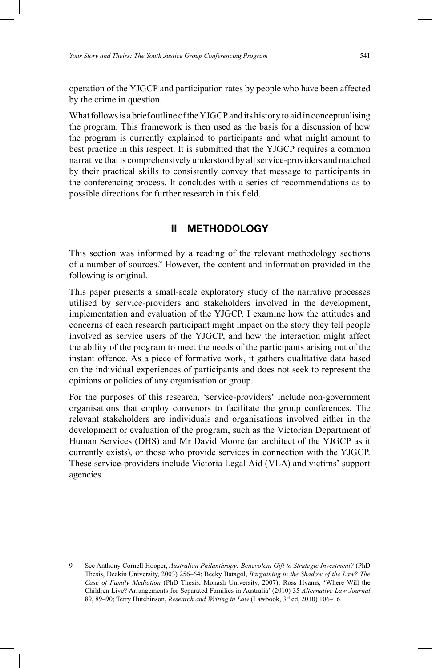operation of the YJGCP and participation rates by people who have been affected by the crime in question.

What follows is a brief outline of the YJGCP and its history to aid in conceptualising the program. This framework is then used as the basis for a discussion of how the program is currently explained to participants and what might amount to best practice in this respect. It is submitted that the YJGCP requires a common narrative that is comprehensively understood by all service-providers and matched by their practical skills to consistently convey that message to participants in the conferencing process. It concludes with a series of recommendations as to possible directions for further research in this field.

### **II METHODOLOGY**

This section was informed by a reading of the relevant methodology sections of a number of sources.9 However, the content and information provided in the following is original.

This paper presents a small-scale exploratory study of the narrative processes utilised by service-providers and stakeholders involved in the development, implementation and evaluation of the YJGCP. I examine how the attitudes and concerns of each research participant might impact on the story they tell people involved as service users of the YJGCP, and how the interaction might affect the ability of the program to meet the needs of the participants arising out of the instant offence. As a piece of formative work, it gathers qualitative data based on the individual experiences of participants and does not seek to represent the opinions or policies of any organisation or group.

For the purposes of this research, 'service-providers' include non-government organisations that employ convenors to facilitate the group conferences. The relevant stakeholders are individuals and organisations involved either in the development or evaluation of the program, such as the Victorian Department of Human Services (DHS) and Mr David Moore (an architect of the YJGCP as it currently exists), or those who provide services in connection with the YJGCP. These service-providers include Victoria Legal Aid (VLA) and victims' support agencies.

<sup>9</sup> See Anthony Cornell Hooper, *Australian Philanthropy: Benevolent Gift to Strategic Investment?* (PhD Thesis, Deakin University, 2003) 256–64; Becky Batagol, *Bargaining in the Shadow of the Law? The Case of Family Mediation* (PhD Thesis, Monash University, 2007); Ross Hyams, 'Where Will the Children Live? Arrangements for Separated Families in Australia' (2010) 35 *Alternative Law Journal*  89, 89-90; Terry Hutchinson, *Research and Writing in Law* (Lawbook, 3<sup>rd</sup> ed, 2010) 106-16.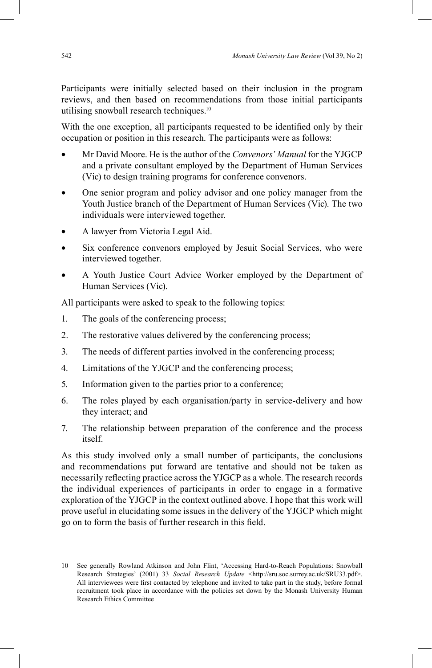Participants were initially selected based on their inclusion in the program reviews, and then based on recommendations from those initial participants utilising snowball research techniques. 10

With the one exception, all participants requested to be identified only by their occupation or position in this research. The participants were as follows:

- Mr David Moore. He is the author of the *Convenors' Manual* for the YJGCP and a private consultant employed by the Department of Human Services (Vic) to design training programs for conference convenors.
- One senior program and policy advisor and one policy manager from the Youth Justice branch of the Department of Human Services (Vic). The two individuals were interviewed together.
- A lawyer from Victoria Legal Aid.
- Six conference convenors employed by Jesuit Social Services, who were interviewed together.
- A Youth Justice Court Advice Worker employed by the Department of Human Services (Vic).

All participants were asked to speak to the following topics:

- 1. The goals of the conferencing process;
- 2. The restorative values delivered by the conferencing process;
- 3. The needs of different parties involved in the conferencing process;
- 4. Limitations of the YJGCP and the conferencing process;
- 5. Information given to the parties prior to a conference;
- 6. The roles played by each organisation/party in service-delivery and how they interact; and
- 7. The relationship between preparation of the conference and the process itself.

As this study involved only a small number of participants, the conclusions and recommendations put forward are tentative and should not be taken as necessarily reflecting practice across the YJGCP as a whole. The research records the individual experiences of participants in order to engage in a formative exploration of the YJGCP in the context outlined above. I hope that this work will prove useful in elucidating some issues in the delivery of the YJGCP which might go on to form the basis of further research in this field.

<sup>10</sup> See generally Rowland Atkinson and John Flint, 'Accessing Hard-to-Reach Populations: Snowball Research Strategies' (2001) 33 *Social Research Update* <http://sru.soc.surrey.ac.uk/SRU33.pdf>. All interviewees were first contacted by telephone and invited to take part in the study, before formal recruitment took place in accordance with the policies set down by the Monash University Human Research Ethics Committee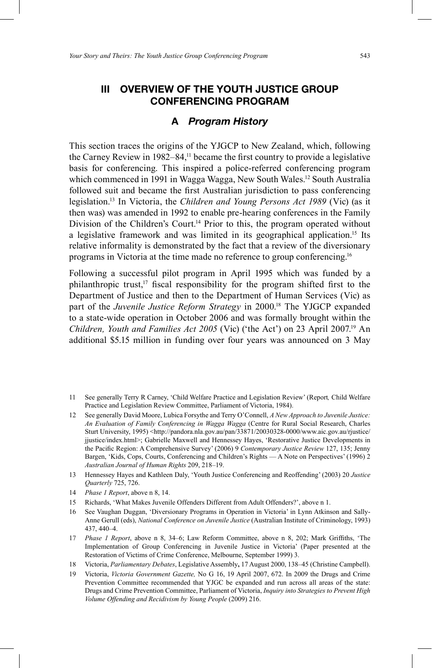### **III OVERVIEW OF THE YOUTH JUSTICE GROUP CONFERENCING PROGRAM**

### **A** *Program History*

This section traces the origins of the YJGCP to New Zealand, which, following the Carney Review in  $1982-84$ ,<sup> $11$ </sup> became the first country to provide a legislative basis for conferencing. This inspired a police-referred conferencing program which commenced in 1991 in Wagga Wagga, New South Wales. <sup>12</sup> South Australia followed suit and became the first Australian jurisdiction to pass conferencing legislation. 13 In Victoria, the *Children and Young Persons Act 1989* (Vic) (as it then was) was amended in 1992 to enable pre-hearing conferences in the Family Division of the Children's Court.<sup>14</sup> Prior to this, the program operated without a legislative framework and was limited in its geographical application.<sup>15</sup> Its relative informality is demonstrated by the fact that a review of the diversionary programs in Victoria at the time made no reference to group conferencing.<sup>16</sup>

Following a successful pilot program in April 1995 which was funded by a philanthropic trust,<sup>17</sup> fiscal responsibility for the program shifted first to the Department of Justice and then to the Department of Human Services (Vic) as part of the *Juvenile Justice Reform Strategy* in 2000. 18 The YJGCP expanded to a state-wide operation in October 2006 and was formally brought within the Children, Youth and Families Act 2005 (Vic) ('the Act') on 23 April 2007.<sup>19</sup> An additional \$5.15 million in funding over four years was announced on 3 May

- 11 See generally Terry R Carney, 'Child Welfare Practice and Legislation Review' (Report*,* Child Welfare Practice and Legislation Review Committee, Parliament of Victoria, 1984).
- 12 See generally David Moore, Lubica Forsythe and Terry O'Connell, *A New Approach to Juvenile Justice: An Evaluation of Family Conferencing in Wagga Wagga* (Centre for Rural Social Research, Charles Sturt University, 1995) <http://pandora.nla.gov.au/pan/33871/20030328-0000/www.aic.gov.au/rjustice/ jjustice/index.html>; Gabrielle Maxwell and Hennessey Hayes, 'Restorative Justice Developments in the Pacific Region: A Comprehensive Survey' (2006) 9 *Contemporary Justice Review* 127, 135; Jenny Bargen, 'Kids, Cops, Courts, Conferencing and Children's Rights — A Note on Perspectives' (1996) 2 *Australian Journal of Human Rights* 209, 218–19.
- 13 Hennessey Hayes and Kathleen Daly, 'Youth Justice Conferencing and Reoffending' (2003) 20 *Justice Quarterly* 725, 726.
- 14 *Phase 1 Report*, above n 8, 14.
- 15 Richards, 'What Makes Juvenile Offenders Different from Adult Offenders?', above n 1.
- 16 See Vaughan Duggan, 'Diversionary Programs in Operation in Victoria' in Lynn Atkinson and Sally-Anne Gerull (eds), *National Conference on Juvenile Justice* (Australian Institute of Criminology, 1993) 437, 440–4.
- 17 *Phase 1 Report*, above n 8, 34–6; Law Reform Committee, above n 8, 202; Mark Griffiths, 'The Implementation of Group Conferencing in Juvenile Justice in Victoria' (Paper presented at the Restoration of Victims of Crime Conference, Melbourne, September 1999) 3.
- 18 Victoria, *Parliamentary Debates*, Legislative Assembly**,** 17 August 2000, 138–45 (Christine Campbell).
- 19 Victoria, *Victoria Government Gazette,* No G 16, 19 April 2007, 672. In 2009 the Drugs and Crime Prevention Committee recommended that YJGC be expanded and run across all areas of the state: Drugs and Crime Prevention Committee, Parliament of Victoria, *Inquiry into Strategies to Prevent High Volume Offending and Recidivism by Young People* (2009) 216.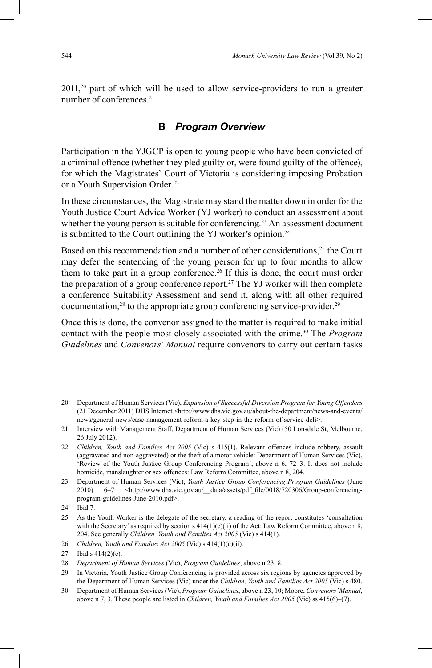2011, 20 part of which will be used to allow service-providers to run a greater number of conferences.<sup>21</sup>

### **B** *Program Overview*

Participation in the YJGCP is open to young people who have been convicted of a criminal offence (whether they pled guilty or, were found guilty of the offence), for which the Magistrates' Court of Victoria is considering imposing Probation or a Youth Supervision Order. 22

In these circumstances, the Magistrate may stand the matter down in order for the Youth Justice Court Advice Worker (YJ worker) to conduct an assessment about whether the young person is suitable for conferencing.<sup>23</sup> An assessment document is submitted to the Court outlining the YJ worker's opinion. 24

Based on this recommendation and a number of other considerations,<sup>25</sup> the Court may defer the sentencing of the young person for up to four months to allow them to take part in a group conference. <sup>26</sup> If this is done, the court must order the preparation of a group conference report. 27 The YJ worker will then complete a conference Suitability Assessment and send it, along with all other required  $d$ ocumentation,<sup>28</sup> to the appropriate group conferencing service-provider.<sup>29</sup>

Once this is done, the convenor assigned to the matter is required to make initial contact with the people most closely associated with the crime. 30 The *Program Guidelines* and *Convenors' Manual* require convenors to carry out certain tasks

- 20 Department of Human Services (Vic), *Expansion of Successful Diversion Program for Young Offenders* (21 December 2011) DHS Internet <http://www.dhs.vic.gov.au/about-the-department/news-and-events/ news/general-news/case-management-reform-a-key-step-in-the-reform-of-service-deli>.
- 21 Interview with Management Staff, Department of Human Services (Vic) (50 Lonsdale St, Melbourne, 26 July 2012).
- 22 *Children, Youth and Families Act 2005* (Vic) s 415(1). Relevant offences include robbery, assault (aggravated and non-aggravated) or the theft of a motor vehicle: Department of Human Services (Vic), 'Review of the Youth Justice Group Conferencing Program', above n 6, 72–3. It does not include homicide, manslaughter or sex offences: Law Reform Committee, above n 8, 204.
- 23 Department of Human Services (Vic), *Youth Justice Group Conferencing Program Guidelines* (June 2010) 6–7 <http://www.dhs.vic.gov.au/ data/assets/pdf file/0018/720306/Group-conferencingprogram-guidelines-June-2010.pdf>.
- 24 Ibid 7.
- 25 As the Youth Worker is the delegate of the secretary, a reading of the report constitutes 'consultation with the Secretary' as required by section s  $414(1)(c)(ii)$  of the Act: Law Reform Committee, above n 8, 204. See generally *Children, Youth and Families Act 2005* (Vic) s 414(1).
- 26 *Children, Youth and Families Act 2005* (Vic) s 414(1)(c)(ii).

- 28 *Department of Human Services* (Vic), *Program Guidelines*, above n 23, 8.
- 29 In Victoria, Youth Justice Group Conferencing is provided across six regions by agencies approved by the Department of Human Services (Vic) under the *Children, Youth and Families Act 2005* (Vic) s 480.
- 30 Department of Human Services (Vic), *Program Guidelines*, above n 23, 10; Moore, *Convenors' Manual*, above n 7, 3. These people are listed in *Children, Youth and Families Act 2005* (Vic) ss 415(6)–(7).

<sup>27</sup> Ibid s 414(2)(c).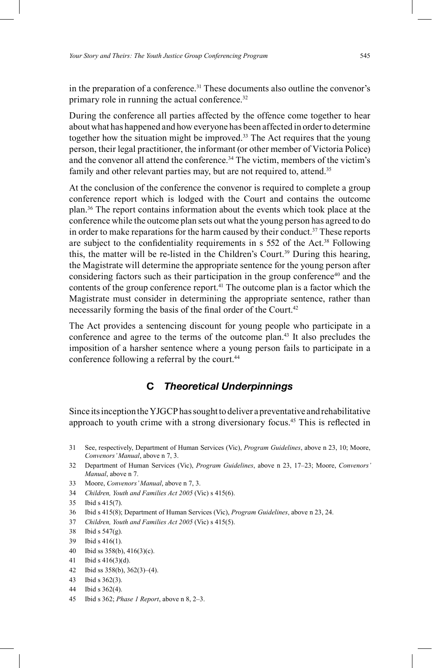in the preparation of a conference. 31 These documents also outline the convenor's primary role in running the actual conference.<sup>32</sup>

During the conference all parties affected by the offence come together to hear about what has happened and how everyone has been affected in order to determine together how the situation might be improved. 33 The Act requires that the young person, their legal practitioner, the informant (or other member of Victoria Police) and the convenor all attend the conference.<sup>34</sup> The victim, members of the victim's family and other relevant parties may, but are not required to, attend.<sup>35</sup>

At the conclusion of the conference the convenor is required to complete a group conference report which is lodged with the Court and contains the outcome plan. 36 The report contains information about the events which took place at the conference while the outcome plan sets out what the young person has agreed to do in order to make reparations for the harm caused by their conduct. 37 These reports are subject to the confidentiality requirements in  $s$  552 of the Act.<sup>38</sup> Following this, the matter will be re-listed in the Children's Court. 39 During this hearing, the Magistrate will determine the appropriate sentence for the young person after considering factors such as their participation in the group conference<sup>40</sup> and the contents of the group conference report. 41 The outcome plan is a factor which the Magistrate must consider in determining the appropriate sentence, rather than necessarily forming the basis of the final order of the Court.<sup>42</sup>

The Act provides a sentencing discount for young people who participate in a conference and agree to the terms of the outcome plan. 43 It also precludes the imposition of a harsher sentence where a young person fails to participate in a conference following a referral by the court. 44

## **C** *Theoretical Underpinnings*

Since its inception the YJGCP has sought to deliver a preventative and rehabilitative approach to youth crime with a strong diversionary focus. 45 This is reflected in

- 31 See, respectively, Department of Human Services (Vic), *Program Guidelines*, above n 23, 10; Moore, *Convenors' Manual*, above n 7, 3.
- 32 Department of Human Services (Vic), *Program Guidelines*, above n 23, 17–23; Moore, *Convenors' Manual*, above n 7.
- 33 Moore, *Convenors' Manual*, above n 7, 3.
- 34 *Children, Youth and Families Act 2005* (Vic) s 415(6).
- 35 Ibid s 415(7).
- 36 Ibid s 415(8); Department of Human Services (Vic), *Program Guidelines*, above n 23, 24.
- 37 *Children, Youth and Families Act 2005* (Vic) s 415(5).
- 38 Ibid s 547(g).
- 39 Ibid s 416(1).
- 40 Ibid ss 358(b), 416(3)(c).
- 41 Ibid s 416(3)(d).
- 42 Ibid ss 358(b), 362(3)–(4).
- 43 Ibid s 362(3).
- 44 Ibid s 362(4).
- 45 Ibid s 362; *Phase 1 Report*, above n 8, 2–3.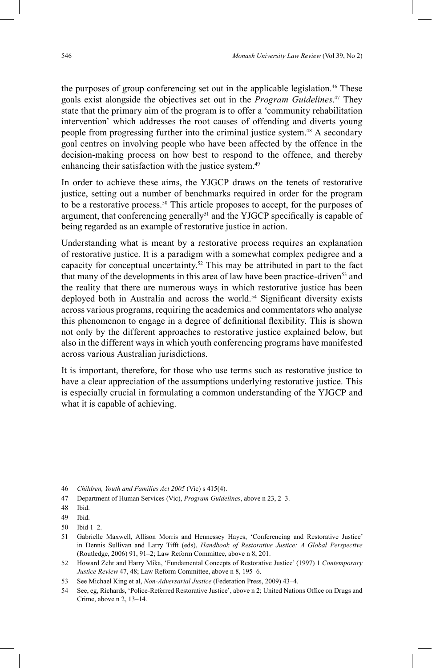the purposes of group conferencing set out in the applicable legislation. 46 These goals exist alongside the objectives set out in the *Program Guidelines*. 47 They state that the primary aim of the program is to offer a 'community rehabilitation intervention' which addresses the root causes of offending and diverts young people from progressing further into the criminal justice system. 48 A secondary goal centres on involving people who have been affected by the offence in the decision-making process on how best to respond to the offence, and thereby enhancing their satisfaction with the justice system.<sup>49</sup>

In order to achieve these aims, the YJGCP draws on the tenets of restorative justice, setting out a number of benchmarks required in order for the program to be a restorative process. 50 This article proposes to accept, for the purposes of argument, that conferencing generally<sup>51</sup> and the YJGCP specifically is capable of being regarded as an example of restorative justice in action.

Understanding what is meant by a restorative process requires an explanation of restorative justice. It is a paradigm with a somewhat complex pedigree and a capacity for conceptual uncertainty. 52 This may be attributed in part to the fact that many of the developments in this area of law have been practice-driven<sup>53</sup> and the reality that there are numerous ways in which restorative justice has been deployed both in Australia and across the world.<sup>54</sup> Significant diversity exists across various programs, requiring the academics and commentators who analyse this phenomenon to engage in a degree of definitional flexibility. This is shown not only by the different approaches to restorative justice explained below, but also in the different ways in which youth conferencing programs have manifested across various Australian jurisdictions.

It is important, therefore, for those who use terms such as restorative justice to have a clear appreciation of the assumptions underlying restorative justice. This is especially crucial in formulating a common understanding of the YJGCP and what it is capable of achieving.

50 Ibid 1–2.

- 52 Howard Zehr and Harry Mika, 'Fundamental Concepts of Restorative Justice' (1997) 1 *Contemporary Justice Review* 47, 48; Law Reform Committee, above n 8, 195–6.
- 53 See Michael King et al, *Non-Adversarial Justice* (Federation Press, 2009) 43–4.
- 54 See, eg, Richards, 'Police-Referred Restorative Justice', above n 2; United Nations Office on Drugs and Crime, above n 2, 13–14.

<sup>46</sup> *Children, Youth and Families Act 2005* (Vic) s 415(4).

<sup>47</sup> Department of Human Services (Vic), *Program Guidelines*, above n 23, 2–3.

<sup>48</sup> Ibid.

<sup>49</sup> Ibid.

<sup>51</sup> Gabrielle Maxwell, Allison Morris and Hennessey Hayes, 'Conferencing and Restorative Justice' in Dennis Sullivan and Larry Tifft (eds), *Handbook of Restorative Justice: A Global Perspective* (Routledge, 2006) 91, 91–2; Law Reform Committee, above n 8, 201.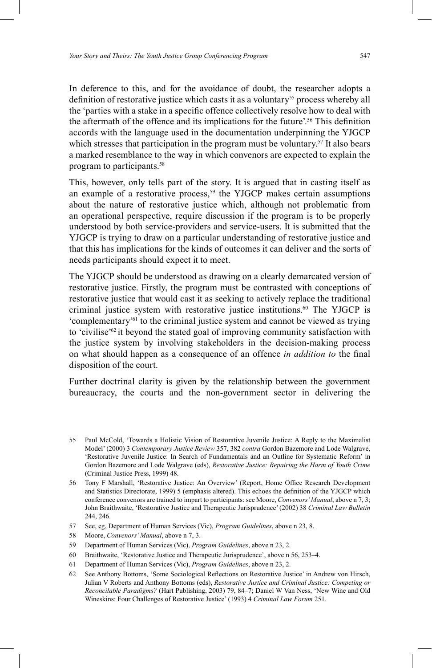In deference to this, and for the avoidance of doubt, the researcher adopts a definition of restorative justice which casts it as a voluntary<sup>55</sup> process whereby all the 'parties with a stake in a specific offence collectively resolve how to deal with the aftermath of the offence and its implications for the future'.<sup>56</sup> This definition accords with the language used in the documentation underpinning the YJGCP which stresses that participation in the program must be voluntary.<sup>57</sup> It also bears a marked resemblance to the way in which convenors are expected to explain the program to participants. 58

This, however, only tells part of the story. It is argued that in casting itself as an example of a restorative process,<sup>59</sup> the YJGCP makes certain assumptions about the nature of restorative justice which, although not problematic from an operational perspective, require discussion if the program is to be properly understood by both service-providers and service-users. It is submitted that the YJGCP is trying to draw on a particular understanding of restorative justice and that this has implications for the kinds of outcomes it can deliver and the sorts of needs participants should expect it to meet.

The YJGCP should be understood as drawing on a clearly demarcated version of restorative justice. Firstly, the program must be contrasted with conceptions of restorative justice that would cast it as seeking to actively replace the traditional criminal justice system with restorative justice institutions. 60 The YJGCP is 'complementary'<sup>61</sup> to the criminal justice system and cannot be viewed as trying to 'civilise'62 it beyond the stated goal of improving community satisfaction with the justice system by involving stakeholders in the decision-making process on what should happen as a consequence of an offence *in addition to* the final disposition of the court.

Further doctrinal clarity is given by the relationship between the government bureaucracy, the courts and the non-government sector in delivering the

- 57 See, eg, Department of Human Services (Vic), *Program Guidelines*, above n 23, 8.
- 58 Moore, *Convenors' Manual*, above n 7, 3.
- 59 Department of Human Services (Vic), *Program Guidelines*, above n 23, 2.
- 60 Braithwaite, 'Restorative Justice and Therapeutic Jurisprudence', above n 56, 253–4.
- 61 Department of Human Services (Vic), *Program Guidelines*, above n 23, 2.
- 62 See Anthony Bottoms, 'Some Sociological Reflections on Restorative Justice' in Andrew von Hirsch, Julian V Roberts and Anthony Bottoms (eds), *Restorative Justice and Criminal Justice: Competing or Reconcilable Paradigms?* (Hart Publishing, 2003) 79, 84–7; Daniel W Van Ness, 'New Wine and Old Wineskins: Four Challenges of Restorative Justice' (1993) 4 *Criminal Law Forum* 251.

<sup>55</sup> Paul McCold, 'Towards a Holistic Vision of Restorative Juvenile Justice: A Reply to the Maximalist Model' (2000) 3 *Contemporary Justice Review* 357, 382 *contra* Gordon Bazemore and Lode Walgrave, 'Restorative Juvenile Justice: In Search of Fundamentals and an Outline for Systematic Reform' in Gordon Bazemore and Lode Walgrave (eds), *Restorative Justice: Repairing the Harm of Youth Crime* (Criminal Justice Press, 1999) 48.

<sup>56</sup> Tony F Marshall, 'Restorative Justice: An Overview' (Report, Home Office Research Development and Statistics Directorate, 1999) 5 (emphasis altered). This echoes the definition of the YJGCP which conference convenors are trained to impart to participants: see Moore, *Convenors' Manual*, above n 7, 3; John Braithwaite, 'Restorative Justice and Therapeutic Jurisprudence' (2002) 38 *Criminal Law Bulletin* 244, 246.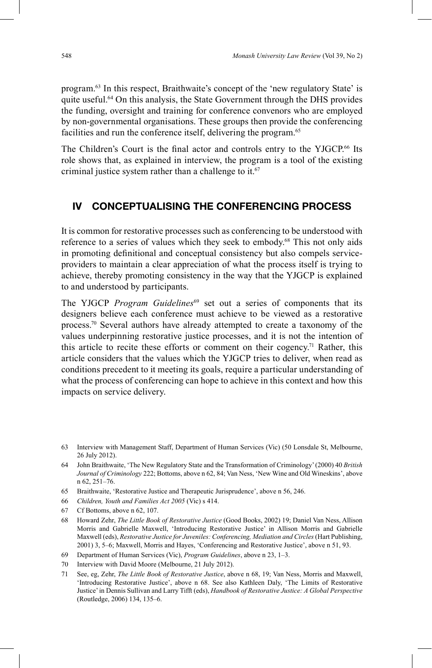program. 63 In this respect, Braithwaite's concept of the 'new regulatory State' is quite useful. 64 On this analysis, the State Government through the DHS provides the funding, oversight and training for conference convenors who are employed by non-governmental organisations. These groups then provide the conferencing facilities and run the conference itself, delivering the program.<sup>65</sup>

The Children's Court is the final actor and controls entry to the YJGCP.<sup>66</sup> Its role shows that, as explained in interview, the program is a tool of the existing criminal justice system rather than a challenge to it. 67

### **IV CONCEPTUALISING THE CONFERENCING PROCESS**

It is common for restorative processes such as conferencing to be understood with reference to a series of values which they seek to embody. 68 This not only aids in promoting definitional and conceptual consistency but also compels serviceproviders to maintain a clear appreciation of what the process itself is trying to achieve, thereby promoting consistency in the way that the YJGCP is explained to and understood by participants.

The YJGCP *Program Guidelines*<sup>69</sup> set out a series of components that its designers believe each conference must achieve to be viewed as a restorative process. 70 Several authors have already attempted to create a taxonomy of the values underpinning restorative justice processes, and it is not the intention of this article to recite these efforts or comment on their cogency.<sup>71</sup> Rather, this article considers that the values which the YJGCP tries to deliver, when read as conditions precedent to it meeting its goals, require a particular understanding of what the process of conferencing can hope to achieve in this context and how this impacts on service delivery.

- 67 Cf Bottoms, above n 62, 107.
- 68 Howard Zehr, *The Little Book of Restorative Justice* (Good Books, 2002) 19; Daniel Van Ness, Allison Morris and Gabrielle Maxwell, 'Introducing Restorative Justice' in Allison Morris and Gabrielle Maxwell (eds), *Restorative Justice for Juveniles: Conferencing, Mediation and Circles* (Hart Publishing, 2001) 3, 5–6; Maxwell, Morris and Hayes, 'Conferencing and Restorative Justice', above n 51, 93.
- 69 Department of Human Services (Vic), *Program Guidelines*, above n 23, 1–3.
- 70 Interview with David Moore (Melbourne, 21 July 2012).
- 71 See, eg, Zehr, *The Little Book of Restorative Justice*, above n 68, 19; Van Ness, Morris and Maxwell, 'Introducing Restorative Justice', above n 68. See also Kathleen Daly, 'The Limits of Restorative Justice' in Dennis Sullivan and Larry Tifft (eds), *Handbook of Restorative Justice: A Global Perspective* (Routledge, 2006) 134, 135–6.

<sup>63</sup> Interview with Management Staff, Department of Human Services (Vic) (50 Lonsdale St, Melbourne, 26 July 2012).

<sup>64</sup> John Braithwaite, 'The New Regulatory State and the Transformation of Criminology' (2000) 40 *British Journal of Criminology* 222; Bottoms, above n 62, 84; Van Ness, 'New Wine and Old Wineskins', above n 62, 251–76.

<sup>65</sup> Braithwaite, 'Restorative Justice and Therapeutic Jurisprudence', above n 56, 246.

<sup>66</sup> *Children, Youth and Families Act 2005* (Vic) s 414.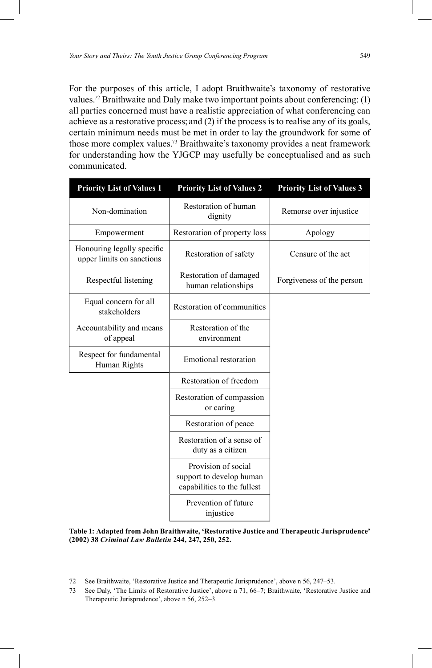For the purposes of this article, I adopt Braithwaite's taxonomy of restorative values.<sup>72</sup> Braithwaite and Daly make two important points about conferencing: (1) all parties concerned must have a realistic appreciation of what conferencing can achieve as a restorative process; and (2) if the process is to realise any of its goals, certain minimum needs must be met in order to lay the groundwork for some of those more complex values. 73 Braithwaite's taxonomy provides a neat framework for understanding how the YJGCP may usefully be conceptualised and as such communicated.

| <b>Priority List of Values 1</b>                        | <b>Priority List of Values 2</b>                                               | <b>Priority List of Values 3</b> |
|---------------------------------------------------------|--------------------------------------------------------------------------------|----------------------------------|
| Non-domination                                          | Restoration of human<br>dignity                                                | Remorse over injustice           |
| Empowerment                                             | Restoration of property loss                                                   | Apology                          |
| Honouring legally specific<br>upper limits on sanctions | Restoration of safety                                                          | Censure of the act               |
| Respectful listening                                    | Restoration of damaged<br>human relationships                                  | Forgiveness of the person        |
| Equal concern for all<br>stakeholders                   | Restoration of communities                                                     |                                  |
| Accountability and means<br>of appeal                   | Restoration of the<br>environment                                              |                                  |
| Respect for fundamental<br>Human Rights                 | <b>Emotional restoration</b>                                                   |                                  |
|                                                         | Restoration of freedom                                                         |                                  |
|                                                         | Restoration of compassion<br>or caring                                         |                                  |
|                                                         | Restoration of peace                                                           |                                  |
|                                                         | Restoration of a sense of<br>duty as a citizen                                 |                                  |
|                                                         | Provision of social<br>support to develop human<br>capabilities to the fullest |                                  |
|                                                         | Prevention of future<br>injustice                                              |                                  |

**Table 1: Adapted from John Braithwaite, 'Restorative Justice and Therapeutic Jurisprudence' (2002) 38** *Criminal Law Bulletin* **244, 247, 250, 252.**

- 72 See Braithwaite, 'Restorative Justice and Therapeutic Jurisprudence', above n 56, 247–53.
- 73 See Daly, 'The Limits of Restorative Justice', above n 71, 66–7; Braithwaite, 'Restorative Justice and Therapeutic Jurisprudence', above n 56, 252–3.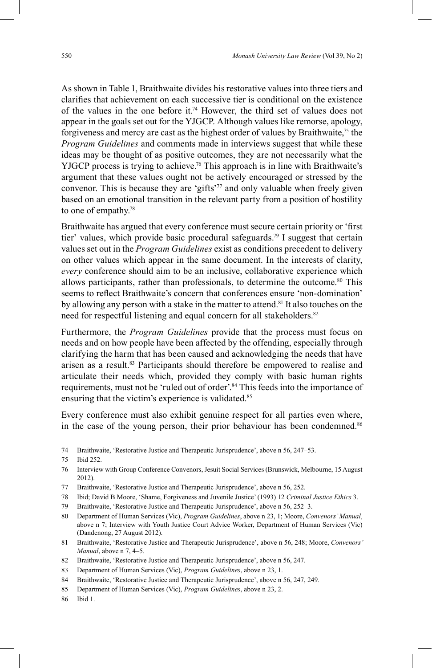As shown in Table 1, Braithwaite divides his restorative values into three tiers and clarifies that achievement on each successive tier is conditional on the existence of the values in the one before it. 74 However, the third set of values does not appear in the goals set out for the YJGCP. Although values like remorse, apology, forgiveness and mercy are cast as the highest order of values by Braithwaite,<sup>75</sup> the *Program Guidelines* and comments made in interviews suggest that while these ideas may be thought of as positive outcomes, they are not necessarily what the YJGCP process is trying to achieve.<sup>76</sup> This approach is in line with Braithwaite's argument that these values ought not be actively encouraged or stressed by the convenor. This is because they are 'gifts' 77 and only valuable when freely given based on an emotional transition in the relevant party from a position of hostility to one of empathy. 78

Braithwaite has argued that every conference must secure certain priority or 'first tier' values, which provide basic procedural safeguards. 79 I suggest that certain values set out in the *Program Guidelines* exist as conditions precedent to delivery on other values which appear in the same document. In the interests of clarity, *every* conference should aim to be an inclusive, collaborative experience which allows participants, rather than professionals, to determine the outcome. 80 This seems to reflect Braithwaite's concern that conferences ensure 'non-domination' by allowing any person with a stake in the matter to attend.<sup>81</sup> It also touches on the need for respectful listening and equal concern for all stakeholders. 82

Furthermore, the *Program Guidelines* provide that the process must focus on needs and on how people have been affected by the offending, especially through clarifying the harm that has been caused and acknowledging the needs that have arisen as a result. 83 Participants should therefore be empowered to realise and articulate their needs which, provided they comply with basic human rights requirements, must not be 'ruled out of order'. 84 This feeds into the importance of ensuring that the victim's experience is validated.<sup>85</sup>

Every conference must also exhibit genuine respect for all parties even where, in the case of the young person, their prior behaviour has been condemned.<sup>86</sup>

- 74 Braithwaite, 'Restorative Justice and Therapeutic Jurisprudence', above n 56, 247–53.
- 75 Ibid 252.
- 76 Interview with Group Conference Convenors, Jesuit Social Services (Brunswick, Melbourne, 15 August 2012).
- 77 Braithwaite, 'Restorative Justice and Therapeutic Jurisprudence', above n 56, 252.
- 78 Ibid; David B Moore, 'Shame, Forgiveness and Juvenile Justice' (1993) 12 *Criminal Justice Ethics* 3.
- 79 Braithwaite, 'Restorative Justice and Therapeutic Jurisprudence', above n 56, 252–3.
- 80 Department of Human Services (Vic), *Program Guidelines*, above n 23, 1; Moore, *Convenors' Manual*, above n 7; Interview with Youth Justice Court Advice Worker, Department of Human Services (Vic) (Dandenong, 27 August 2012).
- 81 Braithwaite, 'Restorative Justice and Therapeutic Jurisprudence', above n 56, 248; Moore, *Convenors' Manual*, above n 7, 4–5.
- 82 Braithwaite, 'Restorative Justice and Therapeutic Jurisprudence', above n 56, 247.
- 83 Department of Human Services (Vic), *Program Guidelines*, above n 23, 1.
- 84 Braithwaite, 'Restorative Justice and Therapeutic Jurisprudence', above n 56, 247, 249.
- 85 Department of Human Services (Vic), *Program Guidelines*, above n 23, 2.
- 86 Ibid 1.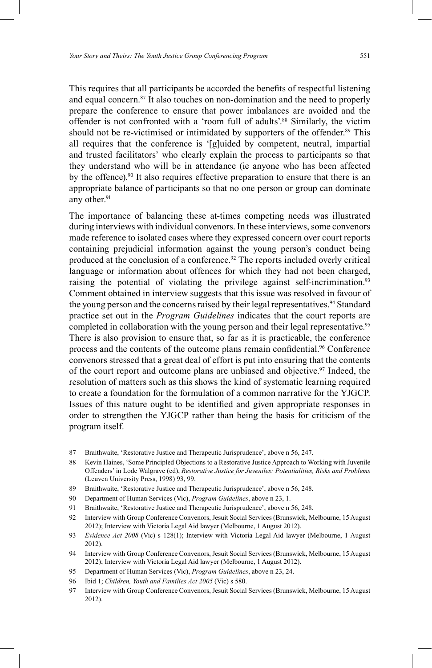This requires that all participants be accorded the benefits of respectful listening and equal concern. 87 It also touches on non-domination and the need to properly prepare the conference to ensure that power imbalances are avoided and the offender is not confronted with a 'room full of adults'. 88 Similarly, the victim should not be re-victimised or intimidated by supporters of the offender.<sup>89</sup> This all requires that the conference is '[g]uided by competent, neutral, impartial and trusted facilitators' who clearly explain the process to participants so that they understand who will be in attendance (ie anyone who has been affected by the offence). 90 It also requires effective preparation to ensure that there is an appropriate balance of participants so that no one person or group can dominate any other. 91

The importance of balancing these at-times competing needs was illustrated during interviews with individual convenors. In these interviews, some convenors made reference to isolated cases where they expressed concern over court reports containing prejudicial information against the young person's conduct being produced at the conclusion of a conference. 92 The reports included overly critical language or information about offences for which they had not been charged, raising the potential of violating the privilege against self-incrimination.<sup>93</sup> Comment obtained in interview suggests that this issue was resolved in favour of the young person and the concerns raised by their legal representatives. <sup>94</sup> Standard practice set out in the *Program Guidelines* indicates that the court reports are completed in collaboration with the young person and their legal representative. 95 There is also provision to ensure that, so far as it is practicable, the conference process and the contents of the outcome plans remain confidential.<sup>96</sup> Conference convenors stressed that a great deal of effort is put into ensuring that the contents of the court report and outcome plans are unbiased and objective. 97 Indeed, the resolution of matters such as this shows the kind of systematic learning required to create a foundation for the formulation of a common narrative for the YJGCP. Issues of this nature ought to be identified and given appropriate responses in order to strengthen the YJGCP rather than being the basis for criticism of the program itself.

- 87 Braithwaite, 'Restorative Justice and Therapeutic Jurisprudence', above n 56, 247.
- 88 Kevin Haines, 'Some Principled Objections to a Restorative Justice Approach to Working with Juvenile Offenders' in Lode Walgrave (ed), *Restorative Justice for Juveniles: Potentialities, Risks and Problems*  (Leuven University Press, 1998) 93, 99.
- 89 Braithwaite, 'Restorative Justice and Therapeutic Jurisprudence', above n 56, 248.
- 90 Department of Human Services (Vic), *Program Guidelines*, above n 23, 1.
- 91 Braithwaite, 'Restorative Justice and Therapeutic Jurisprudence', above n 56, 248.
- 92 Interview with Group Conference Convenors, Jesuit Social Services (Brunswick, Melbourne, 15 August 2012); Interview with Victoria Legal Aid lawyer (Melbourne, 1 August 2012).
- 93 *Evidence Act 2008* (Vic) s 128(1); Interview with Victoria Legal Aid lawyer (Melbourne, 1 August 2012).
- 94 Interview with Group Conference Convenors, Jesuit Social Services (Brunswick, Melbourne, 15 August 2012); Interview with Victoria Legal Aid lawyer (Melbourne, 1 August 2012).
- 95 Department of Human Services (Vic), *Program Guidelines*, above n 23, 24.
- 96 Ibid 1; *Children, Youth and Families Act 2005* (Vic) s 580.
- 97 Interview with Group Conference Convenors, Jesuit Social Services (Brunswick, Melbourne, 15 August 2012).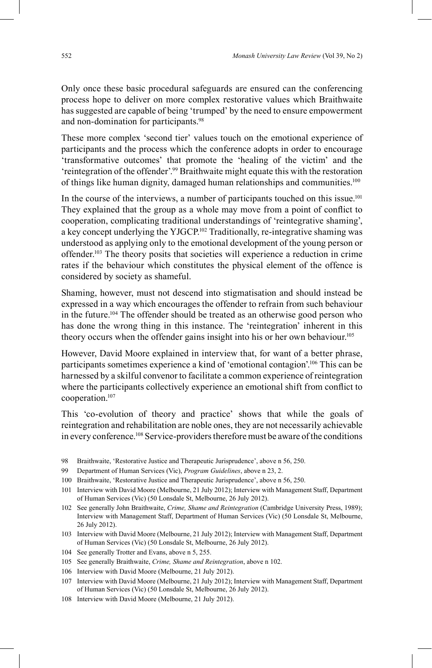Only once these basic procedural safeguards are ensured can the conferencing process hope to deliver on more complex restorative values which Braithwaite has suggested are capable of being 'trumped' by the need to ensure empowerment and non-domination for participants. 98

These more complex 'second tier' values touch on the emotional experience of participants and the process which the conference adopts in order to encourage 'transformative outcomes' that promote the 'healing of the victim' and the 'reintegration of the offender'. 99 Braithwaite might equate this with the restoration of things like human dignity, damaged human relationships and communities.<sup>100</sup>

In the course of the interviews, a number of participants touched on this issue.<sup>101</sup> They explained that the group as a whole may move from a point of conflict to cooperation, complicating traditional understandings of 'reintegrative shaming', a key concept underlying the YJGCP.<sup>102</sup> Traditionally, re-integrative shaming was understood as applying only to the emotional development of the young person or offender. 103 The theory posits that societies will experience a reduction in crime rates if the behaviour which constitutes the physical element of the offence is considered by society as shameful.

Shaming, however, must not descend into stigmatisation and should instead be expressed in a way which encourages the offender to refrain from such behaviour in the future.<sup>104</sup> The offender should be treated as an otherwise good person who has done the wrong thing in this instance. The 'reintegration' inherent in this theory occurs when the offender gains insight into his or her own behaviour. 105

However, David Moore explained in interview that, for want of a better phrase, participants sometimes experience a kind of 'emotional contagion'. 106 This can be harnessed by a skilful convenor to facilitate a common experience of reintegration where the participants collectively experience an emotional shift from conflict to cooperation. 107

This 'co-evolution of theory and practice' shows that while the goals of reintegration and rehabilitation are noble ones, they are not necessarily achievable in every conference. 108 Service-providers therefore must be aware of the conditions

- 98 Braithwaite, 'Restorative Justice and Therapeutic Jurisprudence', above n 56, 250.
- 99 Department of Human Services (Vic), *Program Guidelines*, above n 23, 2.
- 100 Braithwaite, 'Restorative Justice and Therapeutic Jurisprudence', above n 56, 250.
- 101 Interview with David Moore (Melbourne, 21 July 2012); Interview with Management Staff, Department of Human Services (Vic) (50 Lonsdale St, Melbourne, 26 July 2012).
- 102 See generally John Braithwaite, *Crime, Shame and Reintegration* (Cambridge University Press, 1989); Interview with Management Staff, Department of Human Services (Vic) (50 Lonsdale St, Melbourne, 26 July 2012).
- 103 Interview with David Moore (Melbourne, 21 July 2012); Interview with Management Staff, Department of Human Services (Vic) (50 Lonsdale St, Melbourne, 26 July 2012).
- 104 See generally Trotter and Evans, above n 5, 255.
- 105 See generally Braithwaite, *Crime, Shame and Reintegration*, above n 102.
- 106 Interview with David Moore (Melbourne, 21 July 2012).
- 107 Interview with David Moore (Melbourne, 21 July 2012); Interview with Management Staff, Department of Human Services (Vic) (50 Lonsdale St, Melbourne, 26 July 2012).
- 108 Interview with David Moore (Melbourne, 21 July 2012).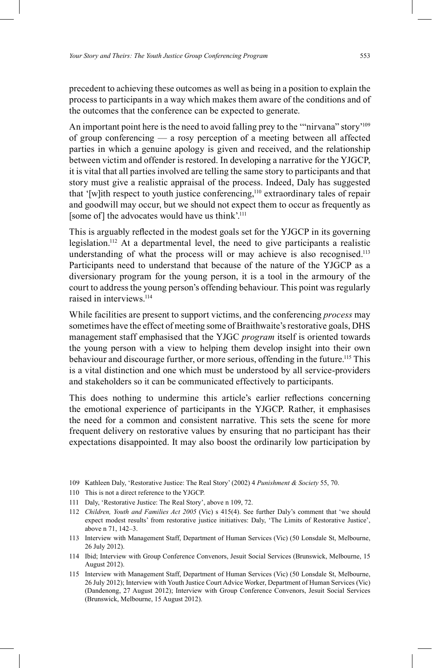precedent to achieving these outcomes as well as being in a position to explain the process to participants in a way which makes them aware of the conditions and of the outcomes that the conference can be expected to generate.

An important point here is the need to avoid falling prey to the ""nirvana" story'<sup>109</sup> of group conferencing — a rosy perception of a meeting between all affected parties in which a genuine apology is given and received, and the relationship between victim and offender is restored. In developing a narrative for the YJGCP, it is vital that all parties involved are telling the same story to participants and that story must give a realistic appraisal of the process. Indeed, Daly has suggested that '[w]ith respect to youth justice conferencing,<sup>110</sup> extraordinary tales of repair and goodwill may occur, but we should not expect them to occur as frequently as [some of] the advocates would have us think'.<sup>111</sup>

This is arguably reflected in the modest goals set for the YJGCP in its governing legislation. 112 At a departmental level, the need to give participants a realistic understanding of what the process will or may achieve is also recognised.<sup>113</sup> Participants need to understand that because of the nature of the YJGCP as a diversionary program for the young person, it is a tool in the armoury of the court to address the young person's offending behaviour. This point was regularly raised in interviews.<sup>114</sup>

While facilities are present to support victims, and the conferencing *process* may sometimes have the effect of meeting some of Braithwaite's restorative goals, DHS management staff emphasised that the YJGC *program* itself is oriented towards the young person with a view to helping them develop insight into their own behaviour and discourage further, or more serious, offending in the future.<sup>115</sup> This is a vital distinction and one which must be understood by all service-providers and stakeholders so it can be communicated effectively to participants.

This does nothing to undermine this article's earlier reflections concerning the emotional experience of participants in the YJGCP. Rather, it emphasises the need for a common and consistent narrative. This sets the scene for more frequent delivery on restorative values by ensuring that no participant has their expectations disappointed. It may also boost the ordinarily low participation by

- 109 Kathleen Daly, 'Restorative Justice: The Real Story' (2002) 4 *Punishment & Society* 55, 70.
- 110 This is not a direct reference to the YJGCP.
- 111 Daly, 'Restorative Justice: The Real Story', above n 109, 72.
- 112 *Children, Youth and Families Act 2005* (Vic) s 415(4). See further Daly's comment that 'we should expect modest results' from restorative justice initiatives: Daly, 'The Limits of Restorative Justice', above n 71, 142–3.
- 113 Interview with Management Staff, Department of Human Services (Vic) (50 Lonsdale St, Melbourne, 26 July 2012).
- 114 Ibid; Interview with Group Conference Convenors, Jesuit Social Services (Brunswick, Melbourne, 15 August 2012).
- 115 Interview with Management Staff, Department of Human Services (Vic) (50 Lonsdale St, Melbourne, 26 July 2012); Interview with Youth Justice Court Advice Worker, Department of Human Services (Vic) (Dandenong, 27 August 2012); Interview with Group Conference Convenors, Jesuit Social Services (Brunswick, Melbourne, 15 August 2012).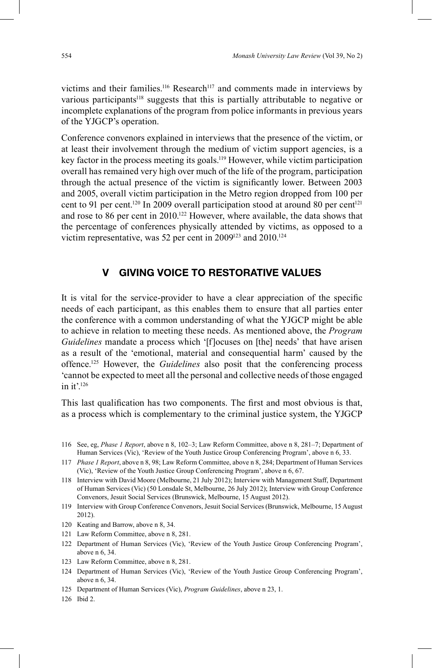victims and their families.<sup>116</sup> Research<sup>117</sup> and comments made in interviews by various participants<sup>118</sup> suggests that this is partially attributable to negative or incomplete explanations of the program from police informants in previous years of the YJGCP's operation.

Conference convenors explained in interviews that the presence of the victim, or at least their involvement through the medium of victim support agencies, is a key factor in the process meeting its goals. 119 However, while victim participation overall has remained very high over much of the life of the program, participation through the actual presence of the victim is significantly lower. Between 2003 and 2005, overall victim participation in the Metro region dropped from 100 per cent to 91 per cent.<sup>120</sup> In 2009 overall participation stood at around 80 per cent<sup>121</sup> and rose to 86 per cent in 2010. 122 However, where available, the data shows that the percentage of conferences physically attended by victims, as opposed to a victim representative, was 52 per cent in 2009<sup>123</sup> and 2010.<sup>124</sup>

## **V GIVING VOICE TO RESTORATIVE VALUES**

It is vital for the service-provider to have a clear appreciation of the specific needs of each participant, as this enables them to ensure that all parties enter the conference with a common understanding of what the YJGCP might be able to achieve in relation to meeting these needs. As mentioned above, the *Program Guidelines* mandate a process which '[f]ocuses on [the] needs' that have arisen as a result of the 'emotional, material and consequential harm' caused by the offence.125 However, the *Guidelines* also posit that the conferencing process 'cannot be expected to meet all the personal and collective needs of those engaged in it'. 126

This last qualification has two components. The first and most obvious is that, as a process which is complementary to the criminal justice system, the YJGCP

- 119 Interview with Group Conference Convenors, Jesuit Social Services (Brunswick, Melbourne, 15 August 2012).
- 120 Keating and Barrow, above n 8, 34.
- 121 Law Reform Committee, above n 8, 281.
- 122 Department of Human Services (Vic), 'Review of the Youth Justice Group Conferencing Program', above n 6, 34.
- 123 Law Reform Committee, above n 8, 281.
- 124 Department of Human Services (Vic), 'Review of the Youth Justice Group Conferencing Program', above n 6, 34.
- 125 Department of Human Services (Vic), *Program Guidelines*, above n 23, 1.
- 126 Ibid 2.

<sup>116</sup> See, eg, *Phase 1 Report*, above n 8, 102–3; Law Reform Committee, above n 8, 281–7; Department of Human Services (Vic), 'Review of the Youth Justice Group Conferencing Program', above n 6, 33.

<sup>117</sup> *Phase 1 Report*, above n 8, 98; Law Reform Committee, above n 8, 284; Department of Human Services (Vic), 'Review of the Youth Justice Group Conferencing Program', above n 6, 67.

<sup>118</sup> Interview with David Moore (Melbourne, 21 July 2012); Interview with Management Staff, Department of Human Services (Vic) (50 Lonsdale St, Melbourne, 26 July 2012); Interview with Group Conference Convenors, Jesuit Social Services (Brunswick, Melbourne, 15 August 2012).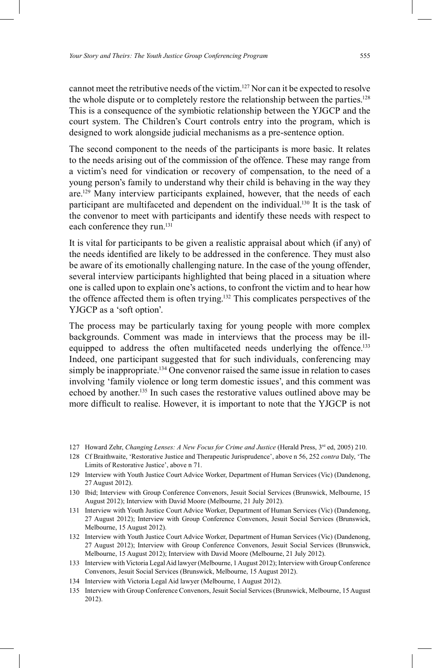cannot meet the retributive needs of the victim. 127 Nor can it be expected to resolve the whole dispute or to completely restore the relationship between the parties. 128 This is a consequence of the symbiotic relationship between the YJGCP and the court system. The Children's Court controls entry into the program, which is designed to work alongside judicial mechanisms as a pre-sentence option.

The second component to the needs of the participants is more basic. It relates to the needs arising out of the commission of the offence. These may range from a victim's need for vindication or recovery of compensation, to the need of a young person's family to understand why their child is behaving in the way they are.129 Many interview participants explained, however, that the needs of each participant are multifaceted and dependent on the individual. 130 It is the task of the convenor to meet with participants and identify these needs with respect to each conference they run. 131

It is vital for participants to be given a realistic appraisal about which (if any) of the needs identified are likely to be addressed in the conference. They must also be aware of its emotionally challenging nature. In the case of the young offender, several interview participants highlighted that being placed in a situation where one is called upon to explain one's actions, to confront the victim and to hear how the offence affected them is often trying. 132 This complicates perspectives of the YJGCP as a 'soft option'.

The process may be particularly taxing for young people with more complex backgrounds. Comment was made in interviews that the process may be illequipped to address the often multifaceted needs underlying the offence.<sup>133</sup> Indeed, one participant suggested that for such individuals, conferencing may simply be inappropriate. <sup>134</sup> One convenor raised the same issue in relation to cases involving 'family violence or long term domestic issues', and this comment was echoed by another. 135 In such cases the restorative values outlined above may be more difficult to realise. However, it is important to note that the YJGCP is not

- 128 Cf Braithwaite, 'Restorative Justice and Therapeutic Jurisprudence', above n 56, 252 *contra* Daly, 'The Limits of Restorative Justice', above n 71.
- 129 Interview with Youth Justice Court Advice Worker, Department of Human Services (Vic) (Dandenong, 27 August 2012).
- 130 Ibid; Interview with Group Conference Convenors, Jesuit Social Services (Brunswick, Melbourne, 15 August 2012); Interview with David Moore (Melbourne, 21 July 2012).
- 131 Interview with Youth Justice Court Advice Worker, Department of Human Services (Vic) (Dandenong, 27 August 2012); Interview with Group Conference Convenors, Jesuit Social Services (Brunswick, Melbourne, 15 August 2012).
- 132 Interview with Youth Justice Court Advice Worker, Department of Human Services (Vic) (Dandenong, 27 August 2012); Interview with Group Conference Convenors, Jesuit Social Services (Brunswick, Melbourne, 15 August 2012); Interview with David Moore (Melbourne, 21 July 2012).
- 133 Interview with Victoria Legal Aid lawyer (Melbourne, 1 August 2012); Interview with Group Conference Convenors, Jesuit Social Services (Brunswick, Melbourne, 15 August 2012).
- 134 Interview with Victoria Legal Aid lawyer (Melbourne, 1 August 2012).
- 135 Interview with Group Conference Convenors, Jesuit Social Services (Brunswick, Melbourne, 15 August 2012).

<sup>127</sup> Howard Zehr, *Changing Lenses: A New Focus for Crime and Justice* (Herald Press, 3<sup>rd</sup> ed, 2005) 210.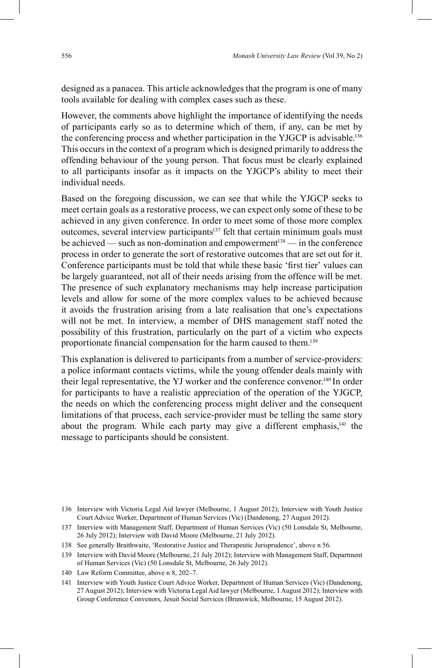designed as a panacea. This article acknowledges that the program is one of many tools available for dealing with complex cases such as these.

However, the comments above highlight the importance of identifying the needs of participants early so as to determine which of them, if any, can be met by the conferencing process and whether participation in the YJGCP is advisable.<sup>136</sup> This occurs in the context of a program which is designed primarily to address the offending behaviour of the young person. That focus must be clearly explained to all participants insofar as it impacts on the YJGCP's ability to meet their individual needs.

Based on the foregoing discussion, we can see that while the YJGCP seeks to meet certain goals as a restorative process, we can expect only some of these to be achieved in any given conference. In order to meet some of those more complex outcomes, several interview participants<sup>137</sup> felt that certain minimum goals must be achieved — such as non-domination and empowerment<sup>138</sup> — in the conference process in order to generate the sort of restorative outcomes that are set out for it. Conference participants must be told that while these basic 'first tier' values can be largely guaranteed, not all of their needs arising from the offence will be met. The presence of such explanatory mechanisms may help increase participation levels and allow for some of the more complex values to be achieved because it avoids the frustration arising from a late realisation that one's expectations will not be met. In interview, a member of DHS management staff noted the possibility of this frustration, particularly on the part of a victim who expects proportionate financial compensation for the harm caused to them.<sup>139</sup>

This explanation is delivered to participants from a number of service-providers: a police informant contacts victims, while the young offender deals mainly with their legal representative, the YJ worker and the conference convenor. <sup>140</sup> In order for participants to have a realistic appreciation of the operation of the YJGCP, the needs on which the conferencing process might deliver and the consequent limitations of that process, each service-provider must be telling the same story about the program. While each party may give a different emphasis,<sup>141</sup> the message to participants should be consistent.

<sup>136</sup> Interview with Victoria Legal Aid lawyer (Melbourne, 1 August 2012); Interview with Youth Justice Court Advice Worker, Department of Human Services (Vic) (Dandenong, 27 August 2012).

<sup>137</sup> Interview with Management Staff, Department of Human Services (Vic) (50 Lonsdale St, Melbourne, 26 July 2012); Interview with David Moore (Melbourne, 21 July 2012).

<sup>138</sup> See generally Braithwaite, 'Restorative Justice and Therapeutic Jurisprudence', above n 56.

<sup>139</sup> Interview with David Moore (Melbourne, 21 July 2012); Interview with Management Staff, Department of Human Services (Vic) (50 Lonsdale St, Melbourne, 26 July 2012).

<sup>140</sup> Law Reform Committee, above n 8, 202–7.

<sup>141</sup> Interview with Youth Justice Court Advice Worker, Department of Human Services (Vic) (Dandenong, 27 August 2012); Interview with Victoria Legal Aid lawyer (Melbourne, 1 August 2012); Interview with Group Conference Convenors, Jesuit Social Services (Brunswick, Melbourne, 15 August 2012).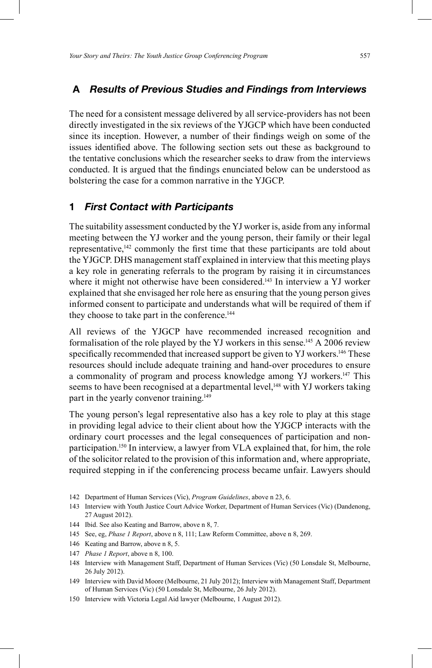### **A** *Results of Previous Studies and Findings from Interviews*

The need for a consistent message delivered by all service-providers has not been directly investigated in the six reviews of the YJGCP which have been conducted since its inception. However, a number of their findings weigh on some of the issues identified above. The following section sets out these as background to the tentative conclusions which the researcher seeks to draw from the interviews conducted. It is argued that the findings enunciated below can be understood as bolstering the case for a common narrative in the YJGCP.

#### **1** *First Contact with Participants*

The suitability assessment conducted by the YJ worker is, aside from any informal meeting between the YJ worker and the young person, their family or their legal representative,<sup>142</sup> commonly the first time that these participants are told about the YJGCP. DHS management staff explained in interview that this meeting plays a key role in generating referrals to the program by raising it in circumstances where it might not otherwise have been considered.<sup>143</sup> In interview a YJ worker explained that she envisaged her role here as ensuring that the young person gives informed consent to participate and understands what will be required of them if they choose to take part in the conference. 144

All reviews of the YJGCP have recommended increased recognition and formalisation of the role played by the YJ workers in this sense.<sup>145</sup> A 2006 review specifically recommended that increased support be given to YJ workers.<sup>146</sup> These resources should include adequate training and hand-over procedures to ensure a commonality of program and process knowledge among YJ workers.<sup>147</sup> This seems to have been recognised at a departmental level,<sup>148</sup> with YJ workers taking part in the yearly convenor training.<sup>149</sup>

The young person's legal representative also has a key role to play at this stage in providing legal advice to their client about how the YJGCP interacts with the ordinary court processes and the legal consequences of participation and nonparticipation. 150 In interview, a lawyer from VLA explained that, for him, the role of the solicitor related to the provision of this information and, where appropriate, required stepping in if the conferencing process became unfair. Lawyers should

- 142 Department of Human Services (Vic), *Program Guidelines*, above n 23, 6.
- 143 Interview with Youth Justice Court Advice Worker, Department of Human Services (Vic) (Dandenong, 27 August 2012).
- 144 Ibid. See also Keating and Barrow, above n 8, 7.
- 145 See, eg, *Phase 1 Report*, above n 8, 111; Law Reform Committee, above n 8, 269.
- 146 Keating and Barrow, above n 8, 5.
- 147 *Phase 1 Report*, above n 8, 100.
- 148 Interview with Management Staff, Department of Human Services (Vic) (50 Lonsdale St, Melbourne, 26 July 2012).
- 149 Interview with David Moore (Melbourne, 21 July 2012); Interview with Management Staff, Department of Human Services (Vic) (50 Lonsdale St, Melbourne, 26 July 2012).
- 150 Interview with Victoria Legal Aid lawyer (Melbourne, 1 August 2012).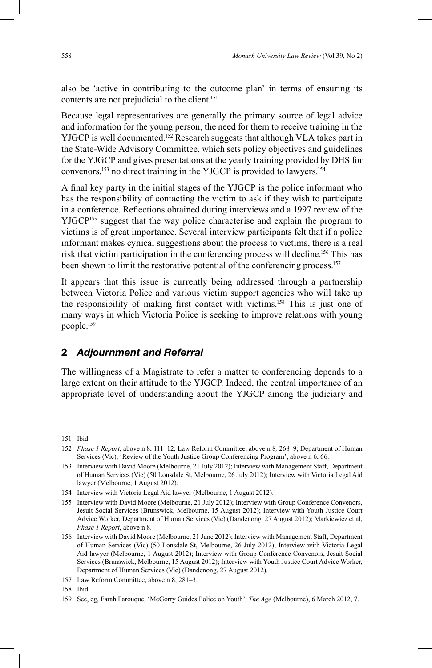also be 'active in contributing to the outcome plan' in terms of ensuring its contents are not prejudicial to the client. 151

Because legal representatives are generally the primary source of legal advice and information for the young person, the need for them to receive training in the YJGCP is well documented. 152 Research suggests that although VLA takes part in the State-Wide Advisory Committee, which sets policy objectives and guidelines for the YJGCP and gives presentations at the yearly training provided by DHS for convenors, 153 no direct training in the YJGCP is provided to lawyers. 154

A final key party in the initial stages of the YJGCP is the police informant who has the responsibility of contacting the victim to ask if they wish to participate in a conference. Reflections obtained during interviews and a 1997 review of the YJGCP<sup>155</sup> suggest that the way police characterise and explain the program to victims is of great importance. Several interview participants felt that if a police informant makes cynical suggestions about the process to victims, there is a real risk that victim participation in the conferencing process will decline. 156 This has been shown to limit the restorative potential of the conferencing process. 157

It appears that this issue is currently being addressed through a partnership between Victoria Police and various victim support agencies who will take up the responsibility of making first contact with victims.<sup>158</sup> This is just one of many ways in which Victoria Police is seeking to improve relations with young people. 159

### **2** *Adjournment and Referral*

The willingness of a Magistrate to refer a matter to conferencing depends to a large extent on their attitude to the YJGCP. Indeed, the central importance of an appropriate level of understanding about the YJGCP among the judiciary and

158 Ibid.

<sup>151</sup> Ibid.

<sup>152</sup> *Phase 1 Report*, above n 8, 111–12; Law Reform Committee, above n 8*,* 268–9; Department of Human Services (Vic), 'Review of the Youth Justice Group Conferencing Program', above n 6, 66.

<sup>153</sup> Interview with David Moore (Melbourne, 21 July 2012); Interview with Management Staff, Department of Human Services (Vic) (50 Lonsdale St, Melbourne, 26 July 2012); Interview with Victoria Legal Aid lawyer (Melbourne, 1 August 2012).

<sup>154</sup> Interview with Victoria Legal Aid lawyer (Melbourne, 1 August 2012).

<sup>155</sup> Interview with David Moore (Melbourne, 21 July 2012); Interview with Group Conference Convenors, Jesuit Social Services (Brunswick, Melbourne, 15 August 2012); Interview with Youth Justice Court Advice Worker, Department of Human Services (Vic) (Dandenong, 27 August 2012); Markiewicz et al, *Phase 1 Report*, above n 8.

<sup>156</sup> Interview with David Moore (Melbourne, 21 June 2012); Interview with Management Staff, Department of Human Services (Vic) (50 Lonsdale St, Melbourne, 26 July 2012); Interview with Victoria Legal Aid lawyer (Melbourne, 1 August 2012); Interview with Group Conference Convenors, Jesuit Social Services (Brunswick, Melbourne, 15 August 2012); Interview with Youth Justice Court Advice Worker, Department of Human Services (Vic) (Dandenong, 27 August 2012).

<sup>157</sup> Law Reform Committee, above n 8, 281–3.

<sup>159</sup> See, eg, Farah Farouque, 'McGorry Guides Police on Youth', *The Age* (Melbourne), 6 March 2012, 7.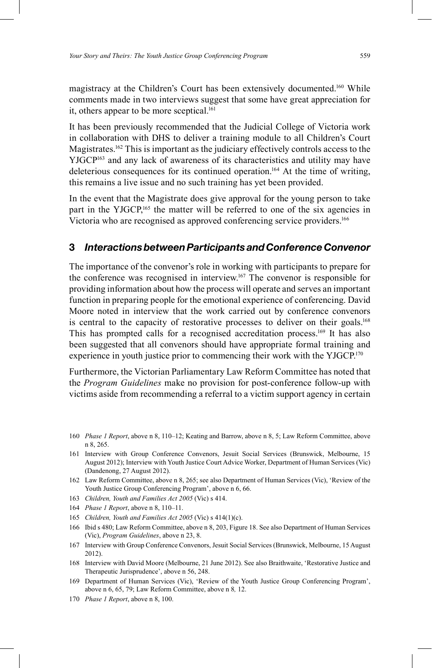magistracy at the Children's Court has been extensively documented. <sup>160</sup> While comments made in two interviews suggest that some have great appreciation for it, others appear to be more sceptical. 161

It has been previously recommended that the Judicial College of Victoria work in collaboration with DHS to deliver a training module to all Children's Court Magistrates. 162 This is important as the judiciary effectively controls access to the YJGCP163 and any lack of awareness of its characteristics and utility may have deleterious consequences for its continued operation. 164 At the time of writing, this remains a live issue and no such training has yet been provided.

In the event that the Magistrate does give approval for the young person to take part in the YJGCP,<sup>165</sup> the matter will be referred to one of the six agencies in Victoria who are recognised as approved conferencing service providers.<sup>166</sup>

#### **3** *Interactions between Participants and Conference Convenor*

The importance of the convenor's role in working with participants to prepare for the conference was recognised in interview. 167 The convenor is responsible for providing information about how the process will operate and serves an important function in preparing people for the emotional experience of conferencing. David Moore noted in interview that the work carried out by conference convenors is central to the capacity of restorative processes to deliver on their goals.<sup>168</sup> This has prompted calls for a recognised accreditation process.<sup>169</sup> It has also been suggested that all convenors should have appropriate formal training and experience in youth justice prior to commencing their work with the YJGCP.<sup>170</sup>

Furthermore, the Victorian Parliamentary Law Reform Committee has noted that the *Program Guidelines* make no provision for post-conference follow-up with victims aside from recommending a referral to a victim support agency in certain

- 160 *Phase 1 Report*, above n 8, 110–12; Keating and Barrow, above n 8, 5; Law Reform Committee, above n 8, 265.
- 161 Interview with Group Conference Convenors, Jesuit Social Services (Brunswick, Melbourne, 15 August 2012); Interview with Youth Justice Court Advice Worker, Department of Human Services (Vic) (Dandenong, 27 August 2012).
- 162 Law Reform Committee, above n 8, 265; see also Department of Human Services (Vic), 'Review of the Youth Justice Group Conferencing Program', above n 6, 66.
- 163 *Children, Youth and Families Act 2005* (Vic) s 414.
- 164 *Phase 1 Report*, above n 8, 110–11.
- 165 *Children, Youth and Families Act 2005* (Vic) s 414(1)(c).
- 166 Ibid s 480; Law Reform Committee, above n 8, 203, Figure 18. See also Department of Human Services (Vic), *Program Guidelines*, above n 23, 8.
- 167 Interview with Group Conference Convenors, Jesuit Social Services (Brunswick, Melbourne, 15 August 2012).
- 168 Interview with David Moore (Melbourne, 21 June 2012). See also Braithwaite, 'Restorative Justice and Therapeutic Jurisprudence', above n 56, 248.
- 169 Department of Human Services (Vic), 'Review of the Youth Justice Group Conferencing Program', above n 6, 65, 79; Law Reform Committee, above n 8*,* 12.
- 170 *Phase 1 Report*, above n 8, 100.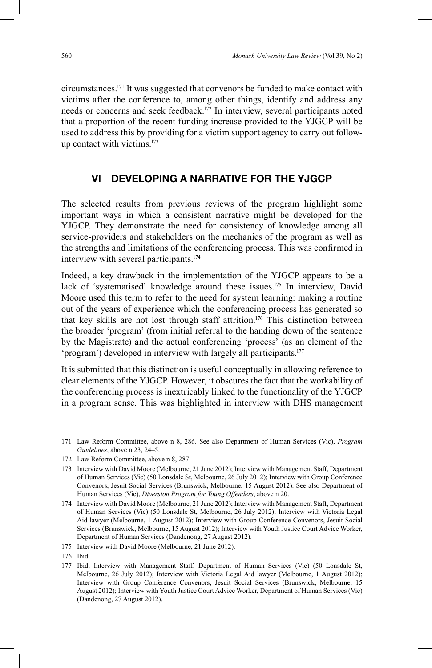circumstances.171 It was suggested that convenors be funded to make contact with victims after the conference to, among other things, identify and address any needs or concerns and seek feedback. 172 In interview, several participants noted that a proportion of the recent funding increase provided to the YJGCP will be used to address this by providing for a victim support agency to carry out followup contact with victims. 173

### **VI DEVELOPING A NARRATIVE FOR THE YJGCP**

The selected results from previous reviews of the program highlight some important ways in which a consistent narrative might be developed for the YJGCP. They demonstrate the need for consistency of knowledge among all service-providers and stakeholders on the mechanics of the program as well as the strengths and limitations of the conferencing process. This was confirmed in interview with several participants. 174

Indeed, a key drawback in the implementation of the YJGCP appears to be a lack of 'systematised' knowledge around these issues. 175 In interview, David Moore used this term to refer to the need for system learning: making a routine out of the years of experience which the conferencing process has generated so that key skills are not lost through staff attrition. 176 This distinction between the broader 'program' (from initial referral to the handing down of the sentence by the Magistrate) and the actual conferencing 'process' (as an element of the 'program') developed in interview with largely all participants. 177

It is submitted that this distinction is useful conceptually in allowing reference to clear elements of the YJGCP. However, it obscures the fact that the workability of the conferencing process is inextricably linked to the functionality of the YJGCP in a program sense. This was highlighted in interview with DHS management

- 171 Law Reform Committee, above n 8, 286. See also Department of Human Services (Vic), *Program Guidelines*, above n 23, 24–5.
- 172 Law Reform Committee, above n 8, 287.
- 173 Interview with David Moore (Melbourne, 21 June 2012); Interview with Management Staff, Department of Human Services (Vic) (50 Lonsdale St, Melbourne, 26 July 2012); Interview with Group Conference Convenors, Jesuit Social Services (Brunswick, Melbourne, 15 August 2012). See also Department of Human Services (Vic), *Diversion Program for Young Offenders*, above n 20.
- 174 Interview with David Moore (Melbourne, 21 June 2012); Interview with Management Staff, Department of Human Services (Vic) (50 Lonsdale St, Melbourne, 26 July 2012); Interview with Victoria Legal Aid lawyer (Melbourne, 1 August 2012); Interview with Group Conference Convenors, Jesuit Social Services (Brunswick, Melbourne, 15 August 2012); Interview with Youth Justice Court Advice Worker, Department of Human Services (Dandenong, 27 August 2012).
- 175 Interview with David Moore (Melbourne, 21 June 2012).
- 176 Ibid.
- 177 Ibid; Interview with Management Staff, Department of Human Services (Vic) (50 Lonsdale St, Melbourne, 26 July 2012); Interview with Victoria Legal Aid lawyer (Melbourne, 1 August 2012); Interview with Group Conference Convenors, Jesuit Social Services (Brunswick, Melbourne, 15 August 2012); Interview with Youth Justice Court Advice Worker, Department of Human Services (Vic) (Dandenong, 27 August 2012).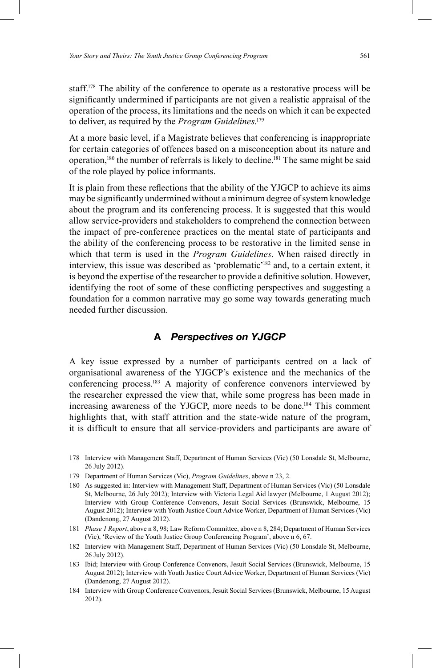staff.<sup>178</sup> The ability of the conference to operate as a restorative process will be significantly undermined if participants are not given a realistic appraisal of the operation of the process, its limitations and the needs on which it can be expected to deliver, as required by the *Program Guidelines*. 179

At a more basic level, if a Magistrate believes that conferencing is inappropriate for certain categories of offences based on a misconception about its nature and operation,<sup>180</sup> the number of referrals is likely to decline.<sup>181</sup> The same might be said of the role played by police informants.

It is plain from these reflections that the ability of the YJGCP to achieve its aims may be significantly undermined without a minimum degree of system knowledge about the program and its conferencing process. It is suggested that this would allow service-providers and stakeholders to comprehend the connection between the impact of pre-conference practices on the mental state of participants and the ability of the conferencing process to be restorative in the limited sense in which that term is used in the *Program Guidelines*. When raised directly in interview, this issue was described as 'problematic' 182 and, to a certain extent, it is beyond the expertise of the researcher to provide a definitive solution. However, identifying the root of some of these conflicting perspectives and suggesting a foundation for a common narrative may go some way towards generating much needed further discussion.

### **A** *Perspectives on YJGCP*

A key issue expressed by a number of participants centred on a lack of organisational awareness of the YJGCP's existence and the mechanics of the conferencing process. 183 A majority of conference convenors interviewed by the researcher expressed the view that, while some progress has been made in increasing awareness of the YJGCP, more needs to be done. 184 This comment highlights that, with staff attrition and the state-wide nature of the program, it is difficult to ensure that all service-providers and participants are aware of

- 180 As suggested in: Interview with Management Staff, Department of Human Services (Vic) (50 Lonsdale St, Melbourne, 26 July 2012); Interview with Victoria Legal Aid lawyer (Melbourne, 1 August 2012); Interview with Group Conference Convenors, Jesuit Social Services (Brunswick, Melbourne, 15 August 2012); Interview with Youth Justice Court Advice Worker, Department of Human Services (Vic) (Dandenong, 27 August 2012).
- 181 *Phase 1 Report*, above n 8, 98; Law Reform Committee, above n 8, 284; Department of Human Services (Vic), 'Review of the Youth Justice Group Conferencing Program', above n 6, 67.
- 182 Interview with Management Staff, Department of Human Services (Vic) (50 Lonsdale St, Melbourne, 26 July 2012).
- 183 Ibid; Interview with Group Conference Convenors, Jesuit Social Services (Brunswick, Melbourne, 15 August 2012); Interview with Youth Justice Court Advice Worker, Department of Human Services (Vic) (Dandenong, 27 August 2012).
- 184 Interview with Group Conference Convenors, Jesuit Social Services (Brunswick, Melbourne, 15 August 2012).

<sup>178</sup> Interview with Management Staff, Department of Human Services (Vic) (50 Lonsdale St, Melbourne, 26 July 2012).

<sup>179</sup> Department of Human Services (Vic), *Program Guidelines*, above n 23, 2.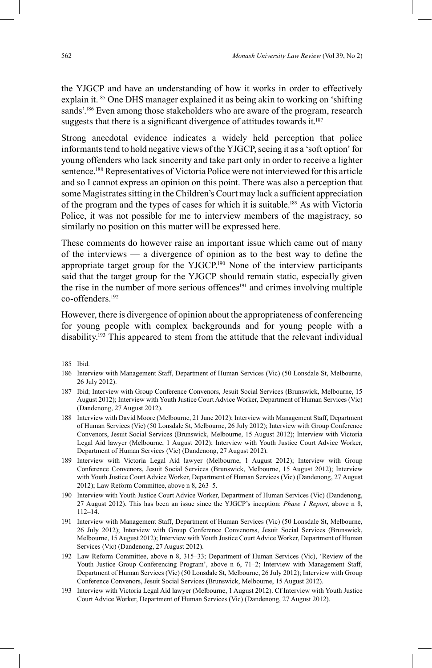the YJGCP and have an understanding of how it works in order to effectively explain it. 185 One DHS manager explained it as being akin to working on 'shifting sands'. <sup>186</sup> Even among those stakeholders who are aware of the program, research suggests that there is a significant divergence of attitudes towards it. $187$ 

Strong anecdotal evidence indicates a widely held perception that police informants tend to hold negative views of the YJGCP, seeing it as a 'soft option' for young offenders who lack sincerity and take part only in order to receive a lighter sentence.188 Representatives of Victoria Police were not interviewed for this article and so I cannot express an opinion on this point. There was also a perception that some Magistrates sitting in the Children's Court may lack a sufficient appreciation of the program and the types of cases for which it is suitable. 189 As with Victoria Police, it was not possible for me to interview members of the magistracy, so similarly no position on this matter will be expressed here.

These comments do however raise an important issue which came out of many of the interviews — a divergence of opinion as to the best way to define the appropriate target group for the YJGCP. 190 None of the interview participants said that the target group for the YJGCP should remain static, especially given the rise in the number of more serious offences<sup>191</sup> and crimes involving multiple co-offenders.192

However, there is divergence of opinion about the appropriateness of conferencing for young people with complex backgrounds and for young people with a disability. 193 This appeared to stem from the attitude that the relevant individual

- 186 Interview with Management Staff, Department of Human Services (Vic) (50 Lonsdale St, Melbourne, 26 July 2012).
- 187 Ibid; Interview with Group Conference Convenors, Jesuit Social Services (Brunswick, Melbourne, 15 August 2012); Interview with Youth Justice Court Advice Worker, Department of Human Services (Vic) (Dandenong, 27 August 2012).
- 188 Interview with David Moore (Melbourne, 21 June 2012); Interview with Management Staff, Department of Human Services (Vic) (50 Lonsdale St, Melbourne, 26 July 2012); Interview with Group Conference Convenors, Jesuit Social Services (Brunswick, Melbourne, 15 August 2012); Interview with Victoria Legal Aid lawyer (Melbourne, 1 August 2012); Interview with Youth Justice Court Advice Worker, Department of Human Services (Vic) (Dandenong, 27 August 2012).
- 189 Interview with Victoria Legal Aid lawyer (Melbourne, 1 August 2012); Interview with Group Conference Convenors, Jesuit Social Services (Brunswick, Melbourne, 15 August 2012); Interview with Youth Justice Court Advice Worker, Department of Human Services (Vic) (Dandenong, 27 August 2012); Law Reform Committee, above n 8, 263–5.
- 190 Interview with Youth Justice Court Advice Worker, Department of Human Services (Vic) (Dandenong, 27 August 2012). This has been an issue since the YJGCP's inception: *Phase 1 Report*, above n 8, 112–14.
- 191 Interview with Management Staff, Department of Human Services (Vic) (50 Lonsdale St, Melbourne, 26 July 2012); Interview with Group Conference Convenorss, Jesuit Social Services (Brunswick, Melbourne, 15 August 2012); Interview with Youth Justice Court Advice Worker, Department of Human Services (Vic) (Dandenong, 27 August 2012).
- 192 Law Reform Committee, above n 8, 315–33; Department of Human Services (Vic), 'Review of the Youth Justice Group Conferencing Program', above n 6, 71-2; Interview with Management Staff, Department of Human Services (Vic) (50 Lonsdale St, Melbourne, 26 July 2012); Interview with Group Conference Convenors, Jesuit Social Services (Brunswick, Melbourne, 15 August 2012).
- 193 Interview with Victoria Legal Aid lawyer (Melbourne, 1 August 2012). Cf Interview with Youth Justice Court Advice Worker, Department of Human Services (Vic) (Dandenong, 27 August 2012).

<sup>185</sup> Ibid.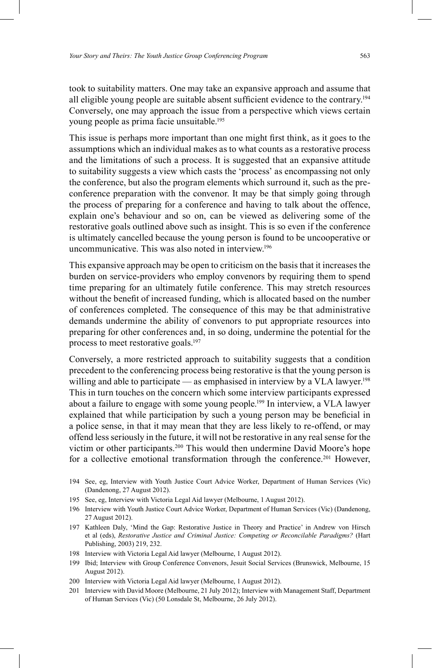took to suitability matters. One may take an expansive approach and assume that all eligible young people are suitable absent sufficient evidence to the contrary.<sup>194</sup> Conversely, one may approach the issue from a perspective which views certain young people as prima facie unsuitable. 195

This issue is perhaps more important than one might first think, as it goes to the assumptions which an individual makes as to what counts as a restorative process and the limitations of such a process. It is suggested that an expansive attitude to suitability suggests a view which casts the 'process' as encompassing not only the conference, but also the program elements which surround it, such as the preconference preparation with the convenor. It may be that simply going through the process of preparing for a conference and having to talk about the offence, explain one's behaviour and so on, can be viewed as delivering some of the restorative goals outlined above such as insight. This is so even if the conference is ultimately cancelled because the young person is found to be uncooperative or uncommunicative. This was also noted in interview.<sup>196</sup>

This expansive approach may be open to criticism on the basis that it increases the burden on service-providers who employ convenors by requiring them to spend time preparing for an ultimately futile conference. This may stretch resources without the benefit of increased funding, which is allocated based on the number of conferences completed. The consequence of this may be that administrative demands undermine the ability of convenors to put appropriate resources into preparing for other conferences and, in so doing, undermine the potential for the process to meet restorative goals. 197

Conversely, a more restricted approach to suitability suggests that a condition precedent to the conferencing process being restorative is that the young person is willing and able to participate — as emphasised in interview by a VLA lawyer.<sup>198</sup> This in turn touches on the concern which some interview participants expressed about a failure to engage with some young people. 199 In interview, a VLA lawyer explained that while participation by such a young person may be beneficial in a police sense, in that it may mean that they are less likely to re-offend, or may offend less seriously in the future, it will not be restorative in any real sense for the victim or other participants. 200 This would then undermine David Moore's hope for a collective emotional transformation through the conference.<sup>201</sup> However,

- 194 See, eg, Interview with Youth Justice Court Advice Worker, Department of Human Services (Vic) (Dandenong, 27 August 2012).
- 195 See, eg, Interview with Victoria Legal Aid lawyer (Melbourne, 1 August 2012).
- 196 Interview with Youth Justice Court Advice Worker, Department of Human Services (Vic) (Dandenong, 27 August 2012).
- 197 Kathleen Daly, 'Mind the Gap: Restorative Justice in Theory and Practice' in Andrew von Hirsch et al (eds), *Restorative Justice and Criminal Justice: Competing or Reconcilable Paradigms?* (Hart Publishing, 2003) 219, 232.
- 198 Interview with Victoria Legal Aid lawyer (Melbourne, 1 August 2012).
- 199 Ibid; Interview with Group Conference Convenors, Jesuit Social Services (Brunswick, Melbourne, 15 August 2012).
- 200 Interview with Victoria Legal Aid lawyer (Melbourne, 1 August 2012).
- 201 Interview with David Moore (Melbourne, 21 July 2012); Interview with Management Staff, Department of Human Services (Vic) (50 Lonsdale St, Melbourne, 26 July 2012).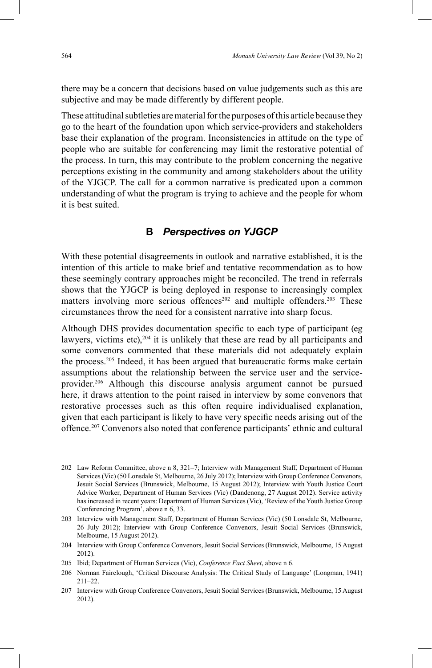there may be a concern that decisions based on value judgements such as this are subjective and may be made differently by different people.

These attitudinal subtleties are material for the purposes of this article because they go to the heart of the foundation upon which service-providers and stakeholders base their explanation of the program. Inconsistencies in attitude on the type of people who are suitable for conferencing may limit the restorative potential of the process. In turn, this may contribute to the problem concerning the negative perceptions existing in the community and among stakeholders about the utility of the YJGCP. The call for a common narrative is predicated upon a common understanding of what the program is trying to achieve and the people for whom it is best suited.

### **B** *Perspectives on YJGCP*

With these potential disagreements in outlook and narrative established, it is the intention of this article to make brief and tentative recommendation as to how these seemingly contrary approaches might be reconciled. The trend in referrals shows that the YJGCP is being deployed in response to increasingly complex matters involving more serious offences<sup>202</sup> and multiple offenders.<sup>203</sup> These circumstances throw the need for a consistent narrative into sharp focus.

Although DHS provides documentation specific to each type of participant (eg lawyers, victims etc), <sup>204</sup> it is unlikely that these are read by all participants and some convenors commented that these materials did not adequately explain the process. 205 Indeed, it has been argued that bureaucratic forms make certain assumptions about the relationship between the service user and the serviceprovider. 206 Although this discourse analysis argument cannot be pursued here, it draws attention to the point raised in interview by some convenors that restorative processes such as this often require individualised explanation, given that each participant is likely to have very specific needs arising out of the offence.207 Convenors also noted that conference participants' ethnic and cultural

<sup>202</sup> Law Reform Committee, above n 8, 321–7; Interview with Management Staff, Department of Human Services (Vic) (50 Lonsdale St, Melbourne, 26 July 2012); Interview with Group Conference Convenors, Jesuit Social Services (Brunswick, Melbourne, 15 August 2012); Interview with Youth Justice Court Advice Worker, Department of Human Services (Vic) (Dandenong, 27 August 2012). Service activity has increased in recent years: Department of Human Services (Vic), 'Review of the Youth Justice Group Conferencing Program', above n 6, 33.

<sup>203</sup> Interview with Management Staff, Department of Human Services (Vic) (50 Lonsdale St, Melbourne, 26 July 2012); Interview with Group Conference Convenors, Jesuit Social Services (Brunswick, Melbourne, 15 August 2012).

<sup>204</sup> Interview with Group Conference Convenors, Jesuit Social Services (Brunswick, Melbourne, 15 August 2012).

<sup>205</sup> Ibid; Department of Human Services (Vic), *Conference Fact Sheet*, above n 6.

<sup>206</sup> Norman Fairclough, 'Critical Discourse Analysis: The Critical Study of Language' (Longman, 1941) 211–22.

<sup>207</sup> Interview with Group Conference Convenors, Jesuit Social Services (Brunswick, Melbourne, 15 August 2012).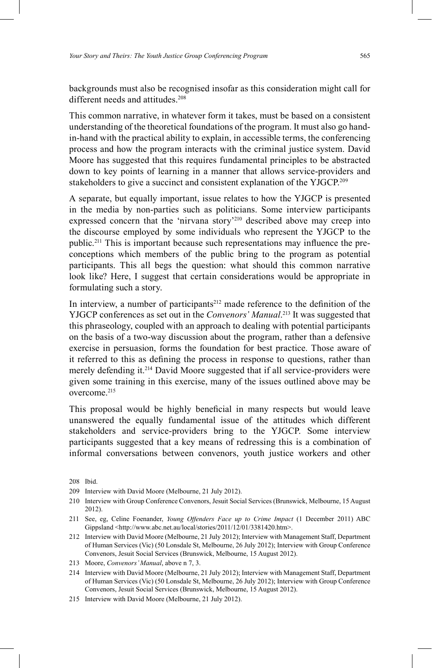backgrounds must also be recognised insofar as this consideration might call for different needs and attitudes.<sup>208</sup>

This common narrative, in whatever form it takes, must be based on a consistent understanding of the theoretical foundations of the program. It must also go handin-hand with the practical ability to explain, in accessible terms, the conferencing process and how the program interacts with the criminal justice system. David Moore has suggested that this requires fundamental principles to be abstracted down to key points of learning in a manner that allows service-providers and stakeholders to give a succinct and consistent explanation of the YJGCP.<sup>209</sup>

A separate, but equally important, issue relates to how the YJGCP is presented in the media by non-parties such as politicians. Some interview participants expressed concern that the 'nirvana story' 210 described above may creep into the discourse employed by some individuals who represent the YJGCP to the public.<sup>211</sup> This is important because such representations may influence the preconceptions which members of the public bring to the program as potential participants. This all begs the question: what should this common narrative look like? Here, I suggest that certain considerations would be appropriate in formulating such a story.

In interview, a number of participants<sup>212</sup> made reference to the definition of the YJGCP conferences as set out in the *Convenors' Manual*. 213 It was suggested that this phraseology, coupled with an approach to dealing with potential participants on the basis of a two-way discussion about the program, rather than a defensive exercise in persuasion, forms the foundation for best practice. Those aware of it referred to this as defining the process in response to questions, rather than merely defending it. 214 David Moore suggested that if all service-providers were given some training in this exercise, many of the issues outlined above may be overcome.215

This proposal would be highly beneficial in many respects but would leave unanswered the equally fundamental issue of the attitudes which different stakeholders and service-providers bring to the YJGCP. Some interview participants suggested that a key means of redressing this is a combination of informal conversations between convenors, youth justice workers and other

208 Ibid.

<sup>209</sup> Interview with David Moore (Melbourne, 21 July 2012).

<sup>210</sup> Interview with Group Conference Convenors, Jesuit Social Services (Brunswick, Melbourne, 15 August 2012).

<sup>211</sup> See, eg, Celine Foenander, *Young Offenders Face up to Crime Impact* (1 December 2011) ABC Gippsland <http://www.abc.net.au/local/stories/2011/12/01/3381420.htm>.

<sup>212</sup> Interview with David Moore (Melbourne, 21 July 2012); Interview with Management Staff, Department of Human Services (Vic) (50 Lonsdale St, Melbourne, 26 July 2012); Interview with Group Conference Convenors, Jesuit Social Services (Brunswick, Melbourne, 15 August 2012).

<sup>213</sup> Moore, *Convenors' Manual*, above n 7, 3.

<sup>214</sup> Interview with David Moore (Melbourne, 21 July 2012); Interview with Management Staff, Department of Human Services (Vic) (50 Lonsdale St, Melbourne, 26 July 2012); Interview with Group Conference Convenors, Jesuit Social Services (Brunswick, Melbourne, 15 August 2012).

<sup>215</sup> Interview with David Moore (Melbourne, 21 July 2012).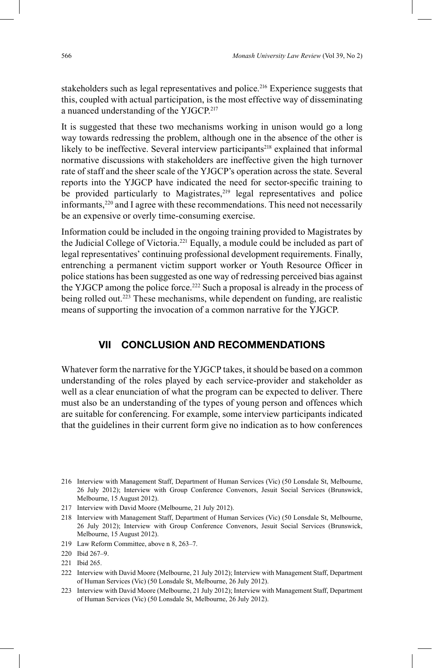stakeholders such as legal representatives and police. 216 Experience suggests that this, coupled with actual participation, is the most effective way of disseminating a nuanced understanding of the YJGCP. 217

It is suggested that these two mechanisms working in unison would go a long way towards redressing the problem, although one in the absence of the other is likely to be ineffective. Several interview participants<sup>218</sup> explained that informal normative discussions with stakeholders are ineffective given the high turnover rate of staff and the sheer scale of the YJGCP's operation across the state. Several reports into the YJGCP have indicated the need for sector-specific training to be provided particularly to Magistrates,<sup>219</sup> legal representatives and police informants, 220 and I agree with these recommendations. This need not necessarily be an expensive or overly time-consuming exercise.

Information could be included in the ongoing training provided to Magistrates by the Judicial College of Victoria. 221 Equally, a module could be included as part of legal representatives' continuing professional development requirements. Finally, entrenching a permanent victim support worker or Youth Resource Officer in police stations has been suggested as one way of redressing perceived bias against the YJGCP among the police force. 222 Such a proposal is already in the process of being rolled out.<sup>223</sup> These mechanisms, while dependent on funding, are realistic means of supporting the invocation of a common narrative for the YJGCP.

### **VII CONCLUSION AND RECOMMENDATIONS**

Whatever form the narrative for the YJGCP takes, it should be based on a common understanding of the roles played by each service-provider and stakeholder as well as a clear enunciation of what the program can be expected to deliver. There must also be an understanding of the types of young person and offences which are suitable for conferencing. For example, some interview participants indicated that the guidelines in their current form give no indication as to how conferences

<sup>216</sup> Interview with Management Staff, Department of Human Services (Vic) (50 Lonsdale St, Melbourne, 26 July 2012); Interview with Group Conference Convenors, Jesuit Social Services (Brunswick, Melbourne, 15 August 2012).

<sup>217</sup> Interview with David Moore (Melbourne, 21 July 2012).

<sup>218</sup> Interview with Management Staff, Department of Human Services (Vic) (50 Lonsdale St, Melbourne, 26 July 2012); Interview with Group Conference Convenors, Jesuit Social Services (Brunswick, Melbourne, 15 August 2012).

<sup>219</sup> Law Reform Committee, above n 8, 263–7.

<sup>220</sup> Ibid 267–9.

<sup>221</sup> Ibid 265.

<sup>222</sup> Interview with David Moore (Melbourne, 21 July 2012); Interview with Management Staff, Department of Human Services (Vic) (50 Lonsdale St, Melbourne, 26 July 2012).

<sup>223</sup> Interview with David Moore (Melbourne, 21 July 2012); Interview with Management Staff, Department of Human Services (Vic) (50 Lonsdale St, Melbourne, 26 July 2012).